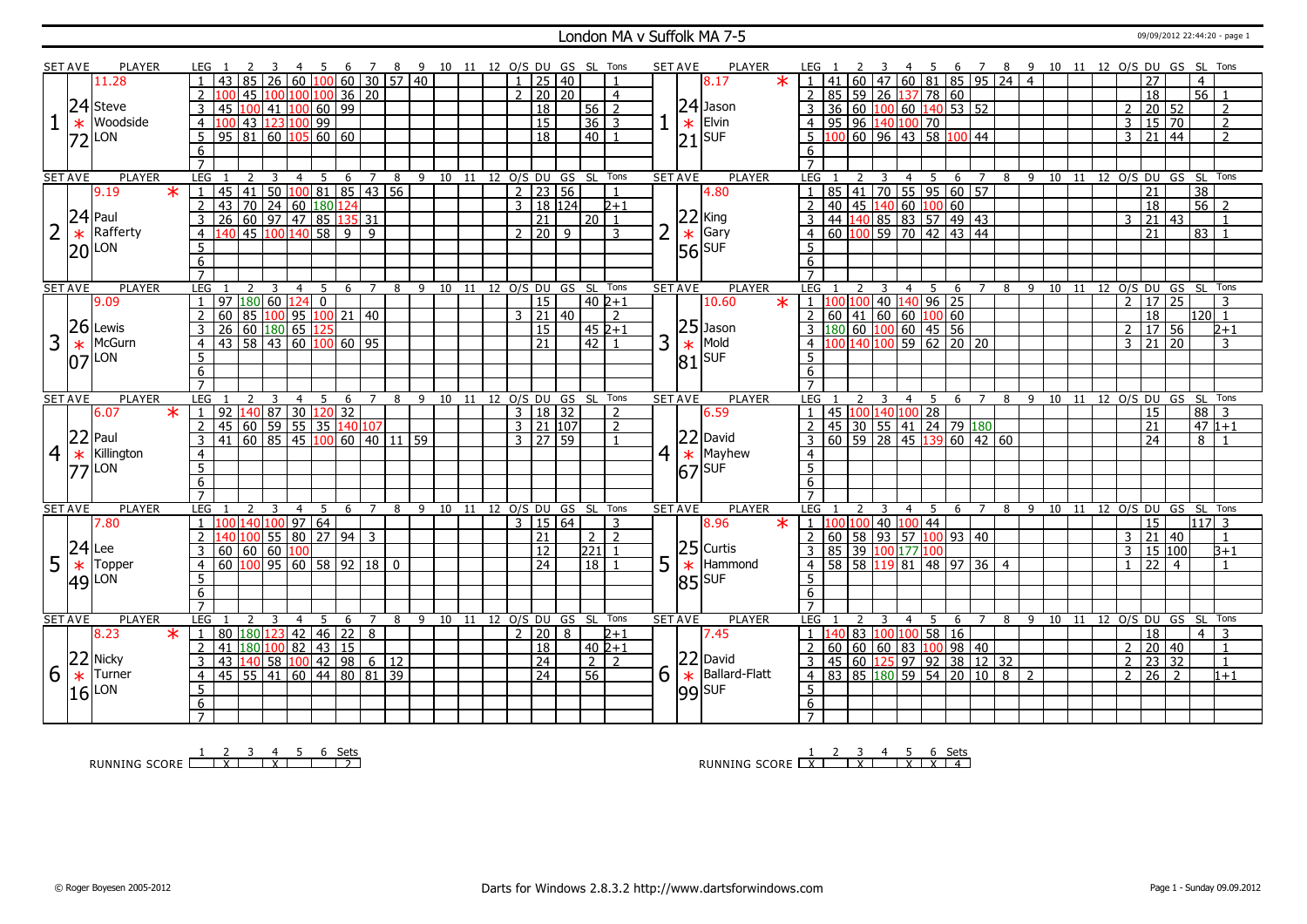#### London MA v Suffolk MA 7-5 09/09/2012 22:44:20 - page 1

|   | <b>SET AVE</b> | <b>PLAYER</b>       |                   | LEG                               |                                                                 | -4             | - 5                                           | - 6         |                |             | 7 8 9 10 11 12 O/S DU GS SL Tons |    |    |                              |                                       |   |                               |                |   | <b>SET AVE</b>  | PLAYER                        | LEG 1                                                                |                   |            |   |                                                   | 45             |                  |                        |                                                                      |                             |     | 6 7 8 9 10 11 12 0/S DU GS SL Tons |    |  |                         |                             |                 |                   |                |  |
|---|----------------|---------------------|-------------------|-----------------------------------|-----------------------------------------------------------------|----------------|-----------------------------------------------|-------------|----------------|-------------|----------------------------------|----|----|------------------------------|---------------------------------------|---|-------------------------------|----------------|---|-----------------|-------------------------------|----------------------------------------------------------------------|-------------------|------------|---|---------------------------------------------------|----------------|------------------|------------------------|----------------------------------------------------------------------|-----------------------------|-----|------------------------------------|----|--|-------------------------|-----------------------------|-----------------|-------------------|----------------|--|
|   |                | 11.28               |                   | 43                                | 85 26 60 100 60 30 57 40                                        |                |                                               |             |                |             |                                  |    |    |                              | $1 \mid 25 \mid 40$                   |   |                               | $\mathbf{1}$   |   |                 | $\star$<br>8.17               | $1   41   60   47   60   81   85   95   24   4$                      |                   |            |   |                                                   |                |                  |                        |                                                                      |                             |     |                                    |    |  |                         | 27                          |                 | $\overline{4}$    |                |  |
|   |                |                     |                   | $\overline{2}$                    | 45<br>100                                                       |                | 100 100 36 20                                 |             |                |             |                                  |    |    |                              | $2 \ 20 \ 20$                         |   |                               | $\overline{4}$ |   |                 |                               | $\overline{2}$                                                       | $\sqrt{85}$       |            |   |                                                   |                |                  | 59 26 137 78 60        |                                                                      |                             |     |                                    |    |  |                         | $\overline{18}$             |                 | $\overline{56}$ 1 |                |  |
|   |                | 24 Steve            |                   | 3<br>45                           | 100<br>41                                                       | 100            | $60$ 99                                       |             |                |             |                                  |    |    |                              | $\overline{18}$                       |   | 56                            | $\overline{2}$ |   |                 | $24$ Jason                    |                                                                      |                   |            |   |                                                   |                |                  | 36 60 100 60 140 53 52 |                                                                      |                             |     |                                    |    |  | $\overline{2}$          |                             | 20 52           |                   | 2              |  |
|   |                | Woodside            |                   |                                   |                                                                 |                |                                               |             |                |             |                                  |    |    |                              | 15                                    |   |                               | $\overline{3}$ |   |                 | Elvin                         |                                                                      |                   |            |   |                                                   |                |                  |                        |                                                                      |                             |     |                                    |    |  |                         | $15 \overline{\smash{)}70}$ |                 |                   |                |  |
|   | $\ast$         |                     |                   | $\overline{4}$                    | 100 43 123 100 99                                               |                |                                               |             |                |             |                                  |    |    |                              |                                       |   | 36                            |                |   | $\ast$          |                               | 4 95 96 140 100 70                                                   |                   |            |   |                                                   |                |                  |                        |                                                                      |                             |     |                                    |    |  | $\overline{\mathbf{3}}$ |                             |                 |                   | $\overline{2}$ |  |
|   |                | $72$ LON            |                   | 5                                 | 95 81 60                                                        |                | $105$ 60 60                                   |             |                |             |                                  |    |    |                              | $\overline{18}$                       |   | 40 <sup>1</sup>               |                |   |                 | $ 21 $ SUF                    |                                                                      |                   |            |   |                                                   |                |                  | 00 60 96 43 58 100 44  |                                                                      |                             |     |                                    |    |  | $\overline{3}$          | 21                          | 44              |                   | $\overline{2}$ |  |
|   |                |                     |                   | 6                                 |                                                                 |                |                                               |             |                |             |                                  |    |    |                              |                                       |   |                               |                |   |                 |                               | 6                                                                    |                   |            |   |                                                   |                |                  |                        |                                                                      |                             |     |                                    |    |  |                         |                             |                 |                   |                |  |
|   |                |                     |                   | $\overline{7}$                    |                                                                 |                |                                               |             |                |             |                                  |    |    |                              |                                       |   |                               |                |   |                 |                               |                                                                      |                   |            |   |                                                   |                |                  |                        |                                                                      |                             |     |                                    |    |  |                         |                             |                 |                   |                |  |
|   | <b>SET AVE</b> | <b>PLAYER</b>       |                   | LEG                               | 3                                                               | $\overline{4}$ | 5                                             | $6^{\circ}$ | $\overline{7}$ | 8           |                                  |    |    | 9 10 11 12 0/S DU GS SL Tons |                                       |   |                               |                |   | <b>SET AVE</b>  | <b>PLAYER</b>                 | <b>LEG</b>                                                           |                   |            | 3 |                                                   |                | $4 \overline{5}$ | 6                      | $\overline{7}$                                                       |                             |     | 8 9 10 11 12 0/S DU GS SL Tons     |    |  |                         |                             |                 |                   |                |  |
|   |                | 9.19                | $\overline{\ast}$ | 45                                | $ 41\rangle$                                                    |                | $50 \mid 100 \mid 81 \mid 85 \mid 43 \mid 56$ |             |                |             |                                  |    |    |                              | $2 \mid 23 \mid 56$                   |   |                               |                |   |                 | 4.80                          |                                                                      |                   |            |   |                                                   |                |                  |                        | 85 41 70 55 95 60 57                                                 |                             |     |                                    |    |  |                         | 21                          |                 | $\overline{38}$   |                |  |
|   |                |                     |                   | $\overline{2}$<br>43              |                                                                 |                |                                               |             |                |             |                                  |    |    |                              | 3   18   124                          |   |                               | $2 + 1$        |   |                 |                               | $\overline{2}$                                                       |                   |            |   |                                                   |                |                  |                        | 40 45 140 60 100 60<br>44 140 85 83 57 49 43                         |                             |     |                                    |    |  |                         | 18                          |                 | $\overline{56}$   | 2              |  |
|   |                | $24$ Paul           |                   | $\overline{3}$<br>26              | 70   24   60   180   124   126   137   31                       |                |                                               |             |                |             |                                  |    |    |                              | $\overline{21}$                       |   | $\sqrt{20}$ 1                 |                |   | 22              | King<br>Gary                  | $\overline{3}$                                                       |                   |            |   |                                                   |                |                  |                        |                                                                      |                             |     |                                    |    |  | $\mathbf{3}$            | $\sqrt{21/43}$              |                 |                   |                |  |
|   | $\ast$         | Rafferty            |                   | $\overline{4}$                    | 45 100 140                                                      |                | $\overline{58}$                               | $\boxed{9}$ | $\mathsf{q}$   |             |                                  |    |    |                              | $2 \mid 20$                           | 9 |                               | 3              |   |                 |                               | $\overline{4}$                                                       |                   |            |   |                                                   |                |                  |                        | $\frac{1}{100}$ 59 70 42 43 44                                       |                             |     |                                    |    |  |                         | 21                          |                 | 83                |                |  |
|   |                | $20$ $\mu$ on       |                   | $5\overline{)}$                   |                                                                 |                |                                               |             |                |             |                                  |    |    |                              |                                       |   |                               |                |   |                 | $\frac{1}{56}$ Gary           | .5.                                                                  |                   |            |   |                                                   |                |                  |                        |                                                                      |                             |     |                                    |    |  |                         |                             |                 |                   |                |  |
|   |                |                     |                   | 6                                 |                                                                 |                |                                               |             |                |             |                                  |    |    |                              |                                       |   |                               |                |   |                 |                               | 6                                                                    |                   |            |   |                                                   |                |                  |                        |                                                                      |                             |     |                                    |    |  |                         |                             |                 |                   |                |  |
|   |                |                     |                   | $\overline{7}$                    |                                                                 |                |                                               |             |                |             |                                  |    |    |                              |                                       |   |                               |                |   |                 |                               | $\overline{7}$                                                       |                   |            |   |                                                   |                |                  |                        |                                                                      |                             |     |                                    |    |  |                         |                             |                 |                   |                |  |
|   | <b>SET AVE</b> | PLAYER              |                   | LEG <sub>1</sub>                  | 3                                                               | 4              | -5                                            | -6          | $\overline{7}$ | - 8         |                                  |    |    | 9 10 11 12 O/S DU GS SL Tons |                                       |   |                               |                |   | <b>SET AVE</b>  | <b>PLAYER</b>                 | <b>LEG</b>                                                           |                   |            |   |                                                   | $\overline{4}$ | $-5$             | - 6                    |                                                                      |                             |     | 7 8 9 10 11 12 O/S DU GS SL Tons   |    |  |                         |                             |                 |                   |                |  |
|   |                | 9.09                |                   | $\overline{1}$                    | 97   180   60                                                   | 124            | $\mathbf{0}$                                  |             |                |             |                                  |    |    |                              | 15                                    |   | $40\,2+1$                     |                |   |                 | 10.60<br>$\ast$               | $1 \, 100 \, 100$                                                    |                   |            |   |                                                   |                |                  | 40 140 96 25           |                                                                      |                             |     |                                    |    |  | $\overline{2}$          | $\overline{17}$             | $\overline{25}$ |                   | 3              |  |
|   |                |                     |                   | $\overline{2}$<br>60              | 85 100 95 100 21 40                                             |                |                                               |             |                |             |                                  |    |    |                              | $3 \mid 21 \mid 40$                   |   |                               | $\overline{2}$ |   |                 |                               | 2   60   41   60   60   100   60                                     |                   |            |   |                                                   |                |                  |                        |                                                                      |                             |     |                                    |    |  |                         | $\overline{18}$             |                 | $120$ 1           |                |  |
|   |                | $26$ Lewis          |                   | 3                                 | 26   60   180   65                                              |                | 125                                           |             |                |             |                                  |    |    |                              | 15                                    |   | $452+1$                       |                |   |                 | $25$ Jason                    | $3 \left  180 \right  60 \left  100 \right  60 \left  45 \right  56$ |                   |            |   |                                                   |                |                  |                        |                                                                      |                             |     |                                    |    |  | $\overline{2}$          |                             | 17 56           |                   | $2+1$          |  |
| 3 | $\ast$         | McGurn              |                   | 4                                 | 43 58 43 60 100 60 95                                           |                |                                               |             |                |             |                                  |    |    |                              | 21                                    |   | 42                            |                | 3 | $\overline{81}$ | Mold                          | $\overline{4}$                                                       |                   | 00 140 100 |   |                                                   |                |                  | $59$ 62 20 20          |                                                                      |                             |     |                                    |    |  | $\mathbf{3}$            | 21                          | l 20            |                   | 3              |  |
|   |                | $ 07 $ LON          |                   | $5\overline{)}$                   |                                                                 |                |                                               |             |                |             |                                  |    |    |                              |                                       |   |                               |                |   |                 | SUF                           | 5                                                                    |                   |            |   |                                                   |                |                  |                        |                                                                      |                             |     |                                    |    |  |                         |                             |                 |                   |                |  |
|   |                |                     |                   | 6                                 |                                                                 |                |                                               |             |                |             |                                  |    |    |                              |                                       |   |                               |                |   |                 |                               | 6                                                                    |                   |            |   |                                                   |                |                  |                        |                                                                      |                             |     |                                    |    |  |                         |                             |                 |                   |                |  |
|   |                |                     |                   | $\overline{7}$                    |                                                                 |                |                                               |             |                |             |                                  |    |    |                              |                                       |   |                               |                |   |                 |                               | $\overline{7}$                                                       |                   |            |   |                                                   |                |                  |                        |                                                                      |                             |     |                                    |    |  |                         |                             |                 |                   |                |  |
|   | <b>SET AVE</b> | <b>PLAYER</b>       |                   | LEG                               |                                                                 | 4              |                                               | 6           | 7              | 8           | 9                                | 10 | 11 | 12 O/S DU GS SL Tons         |                                       |   |                               |                |   | <b>SET AVE</b>  | <b>PLAYER</b>                 | LEG                                                                  |                   |            |   |                                                   | 4              | 5                | 6                      | $\overline{7}$                                                       | 8                           | -9  | 10                                 | 11 |  |                         | 12 O/S DU GS SL             |                 |                   | Tons           |  |
|   |                |                     |                   |                                   |                                                                 |                |                                               |             |                |             |                                  |    |    |                              |                                       |   |                               |                |   |                 |                               |                                                                      |                   |            |   |                                                   |                |                  |                        |                                                                      |                             |     |                                    |    |  |                         |                             |                 |                   |                |  |
|   |                | 6.07                | $\ast$            | 92<br>$\overline{1}$              |                                                                 |                |                                               |             |                |             |                                  |    |    |                              | 3   18   32                           |   |                               | $\overline{2}$ |   |                 | 6.59                          | $\overline{1}$                                                       | 45 100 140 100 28 |            |   |                                                   |                |                  |                        |                                                                      |                             |     |                                    |    |  |                         | 15                          |                 | 88                | $\overline{3}$ |  |
|   |                |                     |                   | $\overline{2}$<br>45              | 140 87 30 120 32<br>60 59 55 35 140 107                         |                |                                               |             |                |             |                                  |    |    |                              | $3 \mid 21 \mid 107$                  |   |                               | $\overline{2}$ |   |                 |                               | $\overline{z}$                                                       |                   |            |   |                                                   |                |                  |                        | 45   30   55   41   24   79   180                                    |                             |     |                                    |    |  |                         | 21                          |                 |                   | $47 1+1$       |  |
|   |                | $ 22 $ Paul         |                   | 41<br>3                           | $60$ 85 45                                                      |                | 100                                           |             |                | 60 40 11 59 |                                  |    |    |                              | $3 \mid 27 \mid 59$                   |   |                               |                |   |                 | $ 22 $ David                  | 3                                                                    |                   |            |   |                                                   |                |                  |                        | 60   59   28   45   139   60   42   60                               |                             |     |                                    |    |  |                         | $\overline{24}$             |                 | 8                 |                |  |
| 4 | $\ast$         | Killington          |                   | $\overline{4}$                    |                                                                 |                |                                               |             |                |             |                                  |    |    |                              |                                       |   |                               |                |   |                 | $\star$ Mayhew                | $\overline{4}$                                                       |                   |            |   |                                                   |                |                  |                        |                                                                      |                             |     |                                    |    |  |                         |                             |                 |                   |                |  |
|   |                |                     |                   | $\overline{5}$                    |                                                                 |                |                                               |             |                |             |                                  |    |    |                              |                                       |   |                               |                | 4 |                 | <b>SUF</b>                    | $\overline{5}$                                                       |                   |            |   |                                                   |                |                  |                        |                                                                      |                             |     |                                    |    |  |                         |                             |                 |                   |                |  |
|   |                | $ 77 $ LON          |                   | $\overline{6}$                    |                                                                 |                |                                               |             |                |             |                                  |    |    |                              |                                       |   |                               |                |   | 67              |                               | 6                                                                    |                   |            |   |                                                   |                |                  |                        |                                                                      |                             |     |                                    |    |  |                         |                             |                 |                   |                |  |
|   |                |                     |                   | $\overline{7}$                    |                                                                 |                |                                               |             |                |             |                                  |    |    |                              |                                       |   |                               |                |   |                 |                               | $\overline{7}$                                                       |                   |            |   |                                                   |                |                  |                        |                                                                      |                             |     |                                    |    |  |                         |                             |                 |                   |                |  |
|   | <b>SET AVE</b> | <b>PLAYER</b>       |                   | LEG                               |                                                                 | 4              | 5                                             | -6          | $\overline{7}$ | 8           |                                  |    |    | 9 10 11 12 O/S DU GS SL Tons |                                       |   |                               |                |   | <b>SET AVE</b>  | <b>PLAYER</b>                 | <b>LEG</b>                                                           |                   |            |   |                                                   | 4 5            |                  | 6                      | $\overline{7}$                                                       | 8                           | - 9 | 10 11 12 O/S DU GS SL Tons         |    |  |                         |                             |                 |                   |                |  |
|   |                | 7.80                |                   |                                   | 140 100 97 64                                                   |                |                                               |             |                |             |                                  |    |    |                              | 3   15   64                           |   |                               | 3              |   |                 | 8.96<br>$\ast$                | $1 \;$ $\;$ 1                                                        |                   |            |   | $\sqrt{100}$ 40 100 44                            |                |                  |                        |                                                                      |                             |     |                                    |    |  |                         | $\overline{15}$             |                 | 117 3             |                |  |
|   |                |                     |                   | $\overline{2}$                    |                                                                 |                | 55   80   27   94   3                         |             |                |             |                                  |    |    |                              | 21                                    |   | $2^{\circ}$                   | 2              |   |                 |                               | 2   60   58   93   57   100   93   40                                |                   |            |   |                                                   |                |                  |                        |                                                                      |                             |     |                                    |    |  | 3                       |                             | 21 40           |                   | $\mathbf{1}$   |  |
|   |                | Lee                 |                   | 3<br>60                           | 60   60   100                                                   |                |                                               |             |                |             |                                  |    |    |                              | 12                                    |   | 221                           |                |   |                 |                               | $\overline{3}$                                                       |                   |            |   | 85   39   <mark>100</mark>   177 <mark>100</mark> |                |                  |                        |                                                                      |                             |     |                                    |    |  | $\mathbf{3}$            |                             | 15 100          |                   | $B+1$          |  |
|   |                |                     |                   | 60<br>$\overline{4}$              | $100$ 95 60 58 92 18 0                                          |                |                                               |             |                |             |                                  |    |    |                              | $\overline{24}$                       |   | $\overline{18}$               |                |   |                 | $25$ Curtis<br>Hammond        |                                                                      |                   |            |   |                                                   |                |                  |                        | 4 58 58 19 81 48 97 36 4                                             |                             |     |                                    |    |  | $\mathbf{1}$            | $\overline{22}$             | $\overline{4}$  |                   | $\mathbf{1}$   |  |
| 5 | $24 \times$    | Topper              |                   | 5                                 |                                                                 |                |                                               |             |                |             |                                  |    |    |                              |                                       |   |                               |                | 5 | $\ast$          |                               | 5 <sup>5</sup>                                                       |                   |            |   |                                                   |                |                  |                        |                                                                      |                             |     |                                    |    |  |                         |                             |                 |                   |                |  |
|   |                | $49$ <sup>LON</sup> |                   |                                   |                                                                 |                |                                               |             |                |             |                                  |    |    |                              |                                       |   |                               |                |   |                 | $ 85 $ SUF                    |                                                                      |                   |            |   |                                                   |                |                  |                        |                                                                      |                             |     |                                    |    |  |                         |                             |                 |                   |                |  |
|   |                |                     |                   | $\overline{6}$<br>$\overline{7}$  |                                                                 |                |                                               |             |                |             |                                  |    |    |                              |                                       |   |                               |                |   |                 |                               | 6<br>$\overline{7}$                                                  |                   |            |   |                                                   |                |                  |                        |                                                                      |                             |     |                                    |    |  |                         |                             |                 |                   |                |  |
|   |                | <b>PLAYER</b>       |                   | LEG                               | $\overline{2}$<br>3                                             | $\overline{4}$ | 5                                             |             | 7              | 8           |                                  |    |    |                              |                                       |   |                               |                |   | <b>SET AVE</b>  |                               | LEG                                                                  |                   |            | 3 |                                                   | $\overline{4}$ | 5                | - 6                    |                                                                      |                             |     |                                    |    |  |                         |                             |                 |                   |                |  |
|   | <b>SET AVE</b> | 8.23                | $\ast$            | 80<br>$\overline{1}$              |                                                                 |                |                                               | 6           | 8              |             |                                  |    |    | 9 10 11 12 0/S DU GS SL Tons |                                       |   |                               | $2 + 1$        |   |                 | <b>PLAYER</b><br>7.45         | $1 \vert 140$                                                        |                   |            |   |                                                   |                |                  |                        |                                                                      |                             |     | 7 8 9 10 11 12 0/S DU GS SL Tons   |    |  |                         | 18                          |                 | $\overline{4}$    | 3              |  |
|   |                |                     |                   | $\overline{2}$<br>41              | $180$ 123 42 46 22<br>180 100 82                                |                | 43 15                                         |             |                |             |                                  |    |    |                              | $2 \mid 20 \mid 8$<br>$\overline{18}$ |   | $40\overline{2+1}$            |                |   |                 |                               | 2                                                                    | $\overline{60}$   |            |   |                                                   |                |                  | 83 100 100 58 16       | $\boxed{60}$ $\boxed{60}$ $\boxed{83}$ $\boxed{100}$ 98 $\boxed{40}$ |                             |     |                                    |    |  | 2                       | 20 <sup>°</sup>             | 40              |                   | $\overline{1}$ |  |
|   |                |                     |                   | 3<br>43                           |                                                                 |                |                                               |             |                |             |                                  |    |    |                              | $\overline{24}$                       |   | $\overline{2}$ $\overline{2}$ |                |   |                 |                               |                                                                      |                   |            |   |                                                   |                |                  |                        |                                                                      |                             |     |                                    |    |  | 2                       |                             |                 |                   | $\overline{1}$ |  |
|   |                | 22 Nicky<br>Turner  |                   | $\overline{45}$<br>$\overline{4}$ | $\left  140 \right  58 \left  100 \right  42 \left  98 \right $ |                |                                               |             |                |             |                                  |    |    |                              | $\sqrt{24}$                           |   |                               |                |   |                 | $ 22 $ David<br>Ballard-Flatt | $3   45   60   125   97   92   38   12   32$                         |                   |            |   |                                                   |                |                  |                        |                                                                      |                             |     |                                    |    |  | 2                       | 26                          | 23 32<br>2      |                   | $1 + 1$        |  |
| 6 | $\ast$         |                     |                   |                                   | 55 41 60 44 80 81 39                                            |                |                                               |             |                |             |                                  |    |    |                              |                                       |   | 56                            |                | 6 | $\ast$          |                               |                                                                      |                   |            |   |                                                   |                |                  |                        |                                                                      | 4 83 85 180 59 54 20 10 8 2 |     |                                    |    |  |                         |                             |                 |                   |                |  |
|   |                | $16$ <sup>LON</sup> |                   | 5                                 |                                                                 |                |                                               |             |                |             |                                  |    |    |                              |                                       |   |                               |                |   |                 | $ 99 $ SUF                    | 5                                                                    |                   |            |   |                                                   |                |                  |                        |                                                                      |                             |     |                                    |    |  |                         |                             |                 |                   |                |  |
|   |                |                     |                   | 6<br>$7^{\circ}$                  |                                                                 |                |                                               |             |                |             |                                  |    |    |                              |                                       |   |                               |                |   |                 |                               | $6\overline{6}$<br>$\overline{7}$                                    |                   |            |   |                                                   |                |                  |                        |                                                                      |                             |     |                                    |    |  |                         |                             |                 |                   |                |  |

RUNNING SCORE <u>| X | X | | | 2</u><br>RUNNING SCORE <u>| X | X | | | 2</u>

RUNNING SCORE 1 X 2 3 X 4 5 X 6 X Sets 4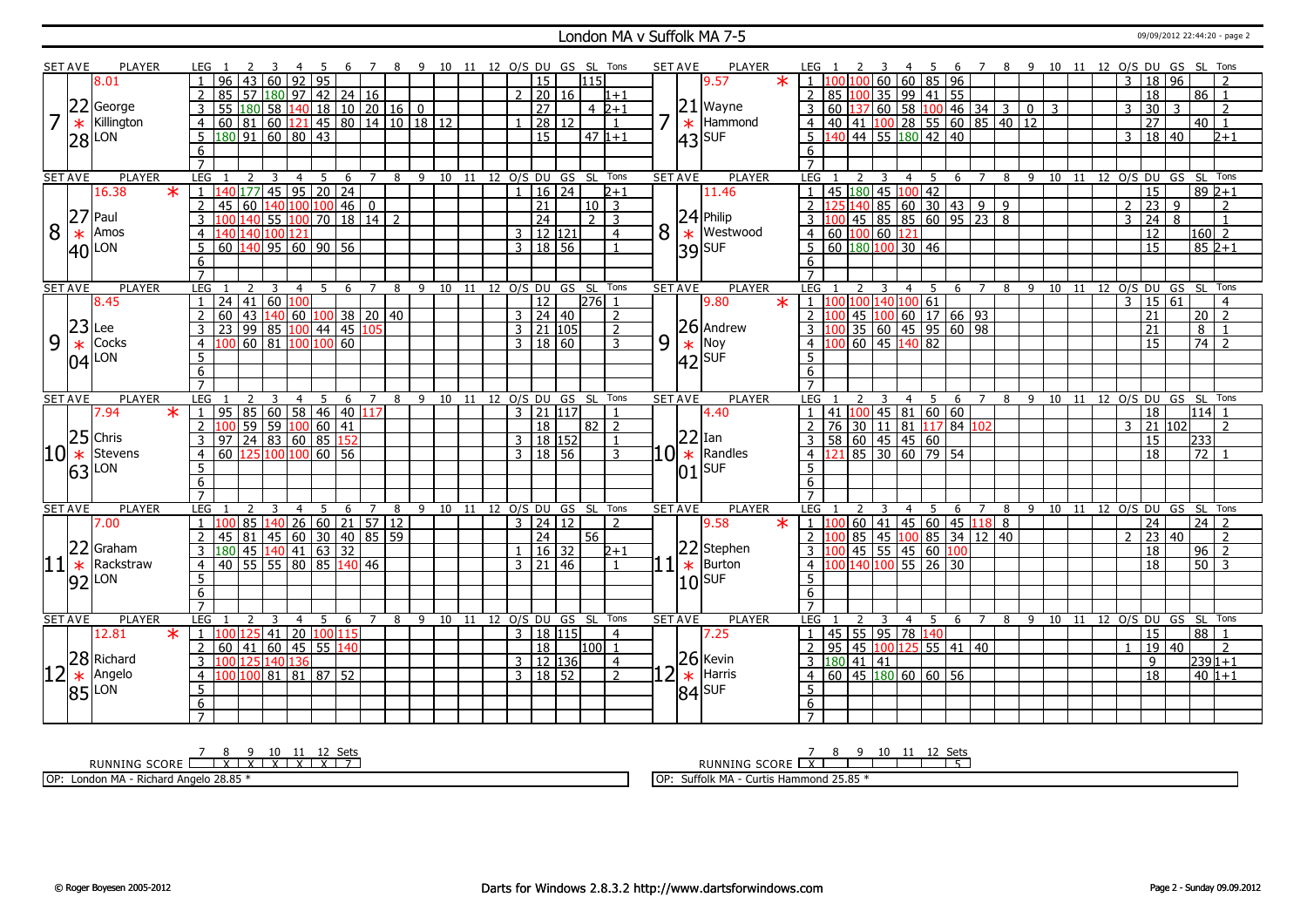#### London MA v Suffolk MA 7-5 09/09/2012 22:44:20 - page 2

|         | <b>SET AVE</b> | <b>PLAYER</b>       |                       |                                                                                                                 |                         |                 |                 |                               |                | -8 | -9 |                       |    |  |                      |                     |                                | 10 11 12 O/S DU GS SL Tons |   | <b>SET AVE</b> | <b>PLAYER</b>                                                               |                                                |    |                |    |                 |          |                                      | -6                                 |                |                               |     | 7 8 9 10 11 12 O/S DU GS SL Tons |    |                |                |                 |    |                 |                |
|---------|----------------|---------------------|-----------------------|-----------------------------------------------------------------------------------------------------------------|-------------------------|-----------------|-----------------|-------------------------------|----------------|----|----|-----------------------|----|--|----------------------|---------------------|--------------------------------|----------------------------|---|----------------|-----------------------------------------------------------------------------|------------------------------------------------|----|----------------|----|-----------------|----------|--------------------------------------|------------------------------------|----------------|-------------------------------|-----|----------------------------------|----|----------------|----------------|-----------------|----|-----------------|----------------|
|         |                | 8.01                |                       | 43                                                                                                              | 60                      | 92              | $\overline{95}$ |                               |                |    |    |                       |    |  | 15                   |                     | 115                            |                            |   |                | $\ast$<br>9.57                                                              | $\overline{1}$                                 |    |                | 60 |                 |          | $60$ 85 96                           |                                    |                |                               |     |                                  |    | 3              |                | $\overline{18}$ | 96 |                 |                |
|         |                |                     | $\mathcal{P}$<br>85   | 57                                                                                                              | 180                     |                 |                 | $97$ 42 24 16                 |                |    |    |                       |    |  | 2   20   16          |                     |                                | $1 + 1$                    |   |                |                                                                             | $\overline{2}$                                 |    | 85 100         |    |                 |          | 35 99 41 55                          |                                    |                |                               |     |                                  |    |                |                | 18              |    | 86              | $\vert$ 1      |
|         | 22             | George              | 3<br>55               | 180                                                                                                             | $\overline{58}$         |                 |                 | $140$   18   10   20   16   0 |                |    |    |                       |    |  | $\overline{27}$      |                     |                                | $4\;2+1$                   |   |                | $21$ Wayne                                                                  | 3                                              |    |                |    |                 |          |                                      |                                    |                |                               |     |                                  |    | 3              |                | 30              | 3  |                 | 2              |
|         | $\ast$         | Killington          | $\overline{4}$        | $60 \ 81 \ 60$                                                                                                  |                         |                 |                 |                               |                |    |    | 121 45 80 14 10 18 12 |    |  |                      | 28 12               |                                | $\overline{1}$             |   | $\ast$         | Hammond                                                                     |                                                |    |                |    |                 |          |                                      |                                    |                | 4 40 41 100 28 55 60 85 40 12 |     |                                  |    |                |                | $\overline{27}$ |    | $40$   1        |                |
|         |                |                     | 5                     | $180$ 91 60 80 43                                                                                               |                         |                 |                 |                               |                |    |    |                       |    |  | $\overline{15}$      |                     |                                | $47 1+1$                   |   |                |                                                                             |                                                |    |                |    |                 |          | $\overline{5}$ 140 44 55 180 42 40   |                                    |                |                               |     |                                  |    |                | $\overline{3}$ | 18 40           |    |                 | $2+1$          |
|         |                | $ 28 $ LON          |                       |                                                                                                                 |                         |                 |                 |                               |                |    |    |                       |    |  |                      |                     |                                |                            |   |                | $ 43 $ SUF                                                                  |                                                |    |                |    |                 |          |                                      |                                    |                |                               |     |                                  |    |                |                |                 |    |                 |                |
|         |                |                     | 6                     |                                                                                                                 |                         |                 |                 |                               |                |    |    |                       |    |  |                      |                     |                                |                            |   |                |                                                                             | 6                                              |    |                |    |                 |          |                                      |                                    |                |                               |     |                                  |    |                |                |                 |    |                 |                |
|         | <b>SET AVE</b> | <b>PLAYER</b>       | $\overline{7}$<br>LEG |                                                                                                                 |                         |                 |                 |                               | $\overline{7}$ |    |    |                       |    |  |                      |                     | 8 9 10 11 12 0/S DU GS SL Tons |                            |   | <b>SET AVE</b> | <b>PLAYER</b>                                                               | LEG                                            |    |                |    |                 |          |                                      |                                    | $\overline{7}$ |                               |     | 8 9 10 11 12 O/S DU GS SL Tons   |    |                |                |                 |    |                 |                |
|         |                | 16.38<br>$\ast$     |                       | $177$                                                                                                           | 3<br>$145$ 95 20 24     | 4               | 5               | 6                             |                |    |    |                       |    |  |                      | $16 \overline{)24}$ |                                | $2 + 1$                    |   |                | 11.46                                                                       |                                                |    | 45 180         | 45 | $\overline{4}$  | $100$ 42 | - 5                                  | 6                                  |                |                               |     |                                  |    |                |                | 15              |    |                 | $892+1$        |
|         |                |                     | 45                    |                                                                                                                 |                         |                 |                 |                               |                |    |    |                       |    |  |                      |                     |                                |                            |   |                |                                                                             |                                                |    |                |    |                 |          |                                      |                                    |                |                               |     |                                  |    |                |                |                 |    |                 |                |
|         |                | $ 27 $ Paul         | $\overline{2}$        | 60                                                                                                              | 140 100 100 46 0        |                 |                 |                               |                |    |    |                       |    |  | $\overline{21}$      |                     | $10$ 3                         |                            |   |                | $24$ Philip                                                                 |                                                |    |                |    |                 |          |                                      | 25 140 85 60 30 43 9 9             |                |                               |     |                                  |    | $\overline{2}$ |                | 23              | 9  |                 | 2              |
|         |                |                     | $\overline{3}$        |                                                                                                                 | $55 100 70 18 14$ 2     |                 |                 |                               |                |    |    |                       |    |  | $\overline{24}$      |                     |                                | $2 \mid 3$                 |   |                |                                                                             | 3                                              |    |                |    |                 |          |                                      | $\overline{45}$ 85 85 60 95 23 8   |                |                               |     |                                  |    | 3              |                | $\overline{24}$ | 8  |                 | $\mathbf{1}$   |
| 8       | $\ast$         | Amos                | $\overline{4}$        | 140 140 100 121                                                                                                 |                         |                 |                 |                               |                |    |    |                       |    |  | $3 \mid 12 \mid 121$ |                     |                                | $\overline{4}$             | 8 | $\ast$         | Westwood                                                                    | 4   60   100   60   121                        |    |                |    |                 |          |                                      |                                    |                |                               |     |                                  |    |                |                | $\overline{12}$ |    | $ 160 $ 2       |                |
|         |                | $ 40 $ LON          | $\overline{5}$        | $60$ 140 95 60 90 56                                                                                            |                         |                 |                 |                               |                |    |    |                       |    |  | 3   18   56          |                     |                                | $\overline{1}$             |   |                | $39$ SUF                                                                    | 5   60   180   100   30   46                   |    |                |    |                 |          |                                      |                                    |                |                               |     |                                  |    |                |                | $\overline{15}$ |    |                 | $852+1$        |
|         |                |                     | 6                     |                                                                                                                 |                         |                 |                 |                               |                |    |    |                       |    |  |                      |                     |                                |                            |   |                |                                                                             | 6                                              |    |                |    |                 |          |                                      |                                    |                |                               |     |                                  |    |                |                |                 |    |                 |                |
|         |                |                     | $\overline{7}$        |                                                                                                                 |                         |                 |                 |                               |                |    |    |                       |    |  |                      |                     |                                |                            |   |                |                                                                             | $\overline{7}$                                 |    |                |    |                 |          |                                      |                                    |                |                               |     |                                  |    |                |                |                 |    |                 |                |
|         | <b>SET AVE</b> | <b>PLAYER</b>       | LEG                   |                                                                                                                 | ર                       | 4               | .5.             | -6                            | $\overline{7}$ | 8  |    |                       |    |  |                      |                     | 9 10 11 12 O/S DU GS SL Tons   |                            |   | <b>SET AVE</b> | <b>PLAYER</b>                                                               | LEG                                            |    | $\mathcal{L}$  |    | 4               |          | - 5                                  | - 6                                | $\overline{7}$ | 8                             |     | 9 10 11 12 0/S DU GS SL Tons     |    |                |                |                 |    |                 |                |
|         |                | 8.45                | $\mathbf{1}$          | 24   41   60                                                                                                    |                         | 100             |                 |                               |                |    |    |                       |    |  | <b>12</b>            |                     | 276 1                          |                            |   |                | $\ast$<br>9.80                                                              | 110010014010061                                |    |                |    |                 |          |                                      |                                    |                |                               |     |                                  |    |                |                | 3   15   61     |    |                 | $\overline{4}$ |
|         |                |                     | $\overline{2}$<br>60  | 43                                                                                                              | $140$ 60 $100$ 38 20 40 |                 |                 |                               |                |    |    |                       |    |  | $3 \mid 24 \mid 40$  |                     |                                | $\overline{2}$             |   |                |                                                                             | 2 1                                            |    |                |    |                 |          |                                      | 45 100 60 17 66 93                 |                |                               |     |                                  |    |                |                | 21              |    | 20              | $\overline{2}$ |
|         | $23$ Lee       |                     | 3                     | 99 85 100 44 45 105                                                                                             |                         |                 |                 |                               |                |    |    |                       |    |  | $3$   21   105       |                     |                                | $\overline{2}$             |   |                | $26$ Andrew                                                                 |                                                |    |                |    |                 |          |                                      | 35   60   45   95   60   98        |                |                               |     |                                  |    |                |                | $\overline{21}$ |    | 8               |                |
| 9       | $\ast$         | Cocks               | $\overline{4}$        | $60$ 81 100 100 60                                                                                              |                         |                 |                 |                               |                |    |    |                       |    |  | 3   18   60          |                     |                                | 3                          | 9 |                |                                                                             | $\overline{4}$                                 |    |                |    | $60$ 45 140 82  |          |                                      |                                    |                |                               |     |                                  |    |                |                | $\overline{15}$ |    | $\overline{74}$ | $\overline{z}$ |
|         |                | $ 04 $ LON          | $\overline{5}$        |                                                                                                                 |                         |                 |                 |                               |                |    |    |                       |    |  |                      |                     |                                |                            |   |                | $\begin{array}{c} \big  * \ \text{Nov} \\ \text{42} \text{SUF} \end{array}$ | 5                                              |    |                |    |                 |          |                                      |                                    |                |                               |     |                                  |    |                |                |                 |    |                 |                |
|         |                |                     | 6                     |                                                                                                                 |                         |                 |                 |                               |                |    |    |                       |    |  |                      |                     |                                |                            |   |                |                                                                             | 6                                              |    |                |    |                 |          |                                      |                                    |                |                               |     |                                  |    |                |                |                 |    |                 |                |
|         |                |                     | $\overline{7}$        |                                                                                                                 |                         |                 |                 |                               |                |    |    |                       |    |  |                      |                     |                                |                            |   |                |                                                                             | $\overline{7}$                                 |    |                |    |                 |          |                                      |                                    |                |                               |     |                                  |    |                |                |                 |    |                 |                |
|         |                |                     |                       |                                                                                                                 |                         |                 |                 |                               |                |    |    |                       |    |  |                      |                     |                                |                            |   |                |                                                                             |                                                |    |                |    |                 |          |                                      |                                    |                |                               |     |                                  |    |                |                |                 |    |                 |                |
|         | <b>SET AVE</b> | <b>PLAYER</b>       | LEG                   |                                                                                                                 |                         | 4               | 5               | 6                             | 7              | 8  | 9  | 10                    | 11 |  |                      |                     | 12 O/S DU GS SL Tons           |                            |   | <b>SET AVE</b> | <b>PLAYER</b>                                                               | LEG                                            |    |                |    |                 | 4        | 5                                    | 6                                  |                | 8                             | -9  | 10                               | 11 | 12 O/S DU GS   |                |                 |    |                 | SL Tons        |
|         |                | 7.94<br>$\ast$      | 95<br>$\overline{1}$  | 85                                                                                                              | 60                      | 58              |                 | 46 40 117                     |                |    |    |                       |    |  | $3 \mid 21 \mid 117$ |                     |                                |                            |   |                | 4.40                                                                        | $\overline{1}$                                 |    |                |    |                 |          | 41 100 45 81 60 60                   |                                    |                |                               |     |                                  |    |                |                | 18              |    | $114$ 1         |                |
|         |                |                     | $\mathcal{P}$         |                                                                                                                 |                         |                 |                 |                               |                |    |    |                       |    |  | 18                   |                     | 82   2                         |                            |   |                |                                                                             | $\overline{z}$                                 |    |                |    |                 |          |                                      | 76   30   11   81   117   84   102 |                |                               |     |                                  |    |                | $\mathcal{R}$  | $\sqrt{21}$ 102 |    |                 | $\mathcal{L}$  |
|         |                | $25$ Chris          | 3<br>97               | $\begin{array}{ c c c c c c }\n\hline\n59 & 59 & 100 & 60 & 41 \\ \hline\n24 & 83 & 60 & 85 & 152\n\end{array}$ |                         |                 |                 |                               |                |    |    |                       |    |  | 3   18   152         |                     |                                |                            |   |                | $ 22 $ Ian                                                                  | 3   58   60   45   45   60                     |    |                |    |                 |          |                                      |                                    |                |                               |     |                                  |    |                |                | 15              |    | 233             |                |
|         | $ 10  *$       | Stevens             | $\overline{4}$        | 60 125 100 100 60 56                                                                                            |                         |                 |                 |                               |                |    |    |                       |    |  | 3   18   56          |                     |                                | 3                          |   |                | $10$ $\star$ Randles                                                        | 4 121                                          |    |                |    |                 |          | 85 30 60 79 54                       |                                    |                |                               |     |                                  |    |                |                | 18              |    | $\overline{72}$ |                |
|         |                |                     | $\overline{5}$        |                                                                                                                 |                         |                 |                 |                               |                |    |    |                       |    |  |                      |                     |                                |                            |   |                | <b>SUF</b>                                                                  | 5                                              |    |                |    |                 |          |                                      |                                    |                |                               |     |                                  |    |                |                |                 |    |                 |                |
|         |                | $63$ <sup>LON</sup> | $\overline{6}$        |                                                                                                                 |                         |                 |                 |                               |                |    |    |                       |    |  |                      |                     |                                |                            |   | 01             |                                                                             | $\overline{6}$                                 |    |                |    |                 |          |                                      |                                    |                |                               |     |                                  |    |                |                |                 |    |                 |                |
|         |                |                     | $\overline{7}$        |                                                                                                                 |                         |                 |                 |                               |                |    |    |                       |    |  |                      |                     |                                |                            |   |                |                                                                             | $\overline{7}$                                 |    |                |    |                 |          |                                      |                                    |                |                               |     |                                  |    |                |                |                 |    |                 |                |
|         | <b>SET AVE</b> | <b>PLAYER</b>       | LEG                   |                                                                                                                 |                         |                 | 5               | -6                            | $\overline{7}$ | 8  |    |                       |    |  |                      |                     | 9 10 11 12 O/S DU GS SL Tons   |                            |   | <b>SET AVE</b> | <b>PLAYER</b>                                                               | LEG                                            |    | $\overline{2}$ |    | $\overline{4}$  |          | -5                                   | - 6                                | $\overline{7}$ | 8                             | - 9 | 10 11 12 O/S DU GS SL            |    |                |                |                 |    |                 | Tons           |
|         |                | 7.00                |                       | 85                                                                                                              | 140                     | 26              |                 | $60$   21   57   12           |                |    |    |                       |    |  | $3 \mid 24 \mid 12$  |                     |                                | $\overline{z}$             |   |                | 9.58<br>$\ast$                                                              | $1\,$ $1$                                      |    |                |    |                 |          |                                      | 60   41   45   60   45   118   8   |                |                               |     |                                  |    |                |                | 24              |    | $\overline{24}$ | $\overline{2}$ |
|         |                |                     | $\overline{2}$<br>45  | 81                                                                                                              | 45 60                   |                 |                 | 30 40 85 59                   |                |    |    |                       |    |  | 24                   |                     | 56                             |                            |   |                |                                                                             | 2 1                                            |    |                |    |                 |          |                                      | 85   45   100   85   34   12   40  |                |                               |     |                                  |    | 2              |                | 23 40           |    |                 | 2              |
|         | 22             | Graham              | 3                     | 180 45 140 41 63 32                                                                                             |                         |                 |                 |                               |                |    |    |                       |    |  |                      | $16 \mid 32$        |                                | $2 + 1$                    |   |                | 22 Stephen                                                                  | $3-1$                                          |    |                |    |                 |          | 45   55   45   60   <mark>100</mark> |                                    |                |                               |     |                                  |    |                |                | 18              |    | 96              | $\overline{2}$ |
| $ 11 *$ |                | Rackstraw           | 40<br>$\overline{4}$  | 55 55 80 85 140 46                                                                                              |                         |                 |                 |                               |                |    |    |                       |    |  | $3 \mid 21 \mid 46$  |                     |                                | $\mathbf{1}$               |   | $\ast$         | Burton                                                                      | $\overline{4}$                                 |    |                |    |                 |          | 00 140 100 55 26 30                  |                                    |                |                               |     |                                  |    |                |                | 18              |    | 50              |                |
|         |                |                     | 5                     |                                                                                                                 |                         |                 |                 |                               |                |    |    |                       |    |  |                      |                     |                                |                            |   |                |                                                                             | 5                                              |    |                |    |                 |          |                                      |                                    |                |                               |     |                                  |    |                |                |                 |    |                 |                |
|         |                | $92$ LON            | 6                     |                                                                                                                 |                         |                 |                 |                               |                |    |    |                       |    |  |                      |                     |                                |                            |   |                | $10$ sur                                                                    | 6                                              |    |                |    |                 |          |                                      |                                    |                |                               |     |                                  |    |                |                |                 |    |                 |                |
|         |                |                     | $\overline{7}$        |                                                                                                                 |                         |                 |                 |                               |                |    |    |                       |    |  |                      |                     |                                |                            |   |                |                                                                             | $\overline{7}$                                 |    |                |    |                 |          |                                      |                                    |                |                               |     |                                  |    |                |                |                 |    |                 |                |
|         | <b>SET AVE</b> | <b>PLAYER</b>       | LEG                   | $\overline{z}$                                                                                                  | 3                       | $\overline{4}$  | 5               | 6                             | $\overline{7}$ | 8  |    |                       |    |  |                      |                     | 9 10 11 12 O/S DU GS SL Tons   |                            |   | <b>SET AVE</b> | <b>PLAYER</b>                                                               | LEG                                            |    | $\mathcal{L}$  | 3  |                 |          | 4 5 6                                |                                    | $\overline{7}$ | - 8                           |     | 9 10 11 12 O/S DU GS SL Tons     |    |                |                |                 |    |                 |                |
|         |                | 12.81<br>$\ast$     | $\mathbf{1}$          | 125                                                                                                             | 41                      | 20 <sup>1</sup> |                 | 100 115                       |                |    |    |                       |    |  | 3   18   115         |                     |                                | $\overline{4}$             |   |                | 7.25                                                                        | $\overline{1}$                                 |    |                |    | 45 55 95 78 140 |          |                                      |                                    |                |                               |     |                                  |    |                |                | 15              |    | 88              |                |
|         |                |                     | $\overline{2}$<br>60  | 41                                                                                                              | 60                      |                 |                 | 45 55 140                     |                |    |    |                       |    |  | 18                   |                     | 100 1                          |                            |   |                |                                                                             | 2                                              | 95 |                |    |                 |          |                                      | 45 100 125 55 41 40                |                |                               |     |                                  |    | $\mathbf{1}$   |                | $\overline{19}$ | 40 |                 | 2              |
|         |                | 28 Richard          | 3<br>100 125          |                                                                                                                 | 140                     | 136             |                 |                               |                |    |    |                       |    |  | $3 \mid 12 \mid 136$ |                     |                                | $\overline{4}$             |   |                | $26$ Kevin                                                                  | $3 \overline{180} \overline{41} \overline{41}$ |    |                |    |                 |          |                                      |                                    |                |                               |     |                                  |    |                |                | 9               |    |                 | $239 1+1$      |
|         | $\ast$         | Angelo              | $\overline{4}$        | 100                                                                                                             | 81 81 87 52             |                 |                 |                               |                |    |    |                       |    |  | 3   18   52          |                     |                                | $\overline{2}$             | 7 |                | Harris                                                                      | $\overline{4}$                                 |    |                |    |                 |          |                                      |                                    |                |                               |     |                                  |    |                |                | $\overline{18}$ |    |                 | $40 1+1$       |
|         |                |                     | 5                     |                                                                                                                 |                         |                 |                 |                               |                |    |    |                       |    |  |                      |                     |                                |                            |   | $\ast$         |                                                                             | 5                                              |    |                |    |                 |          |                                      |                                    |                |                               |     |                                  |    |                |                |                 |    |                 |                |
|         |                | $ 85 $ LON          | 6                     |                                                                                                                 |                         |                 |                 |                               |                |    |    |                       |    |  |                      |                     |                                |                            |   |                | $ 84 $ SUF                                                                  | $6\overline{6}$                                |    |                |    |                 |          |                                      |                                    |                |                               |     |                                  |    |                |                |                 |    |                 |                |

<u>7 8 9 10 11 12 Sets</u><br>RUNNING SCORE <u>| X | X | X | X | X | 7</u>

OP: London MA - Richard Angelo 28.85 \*

RUNNING SCORE 7 X 8 9 10 11 12 Sets 5 OP: Suffolk MA - Curtis Hammond 25.85 \*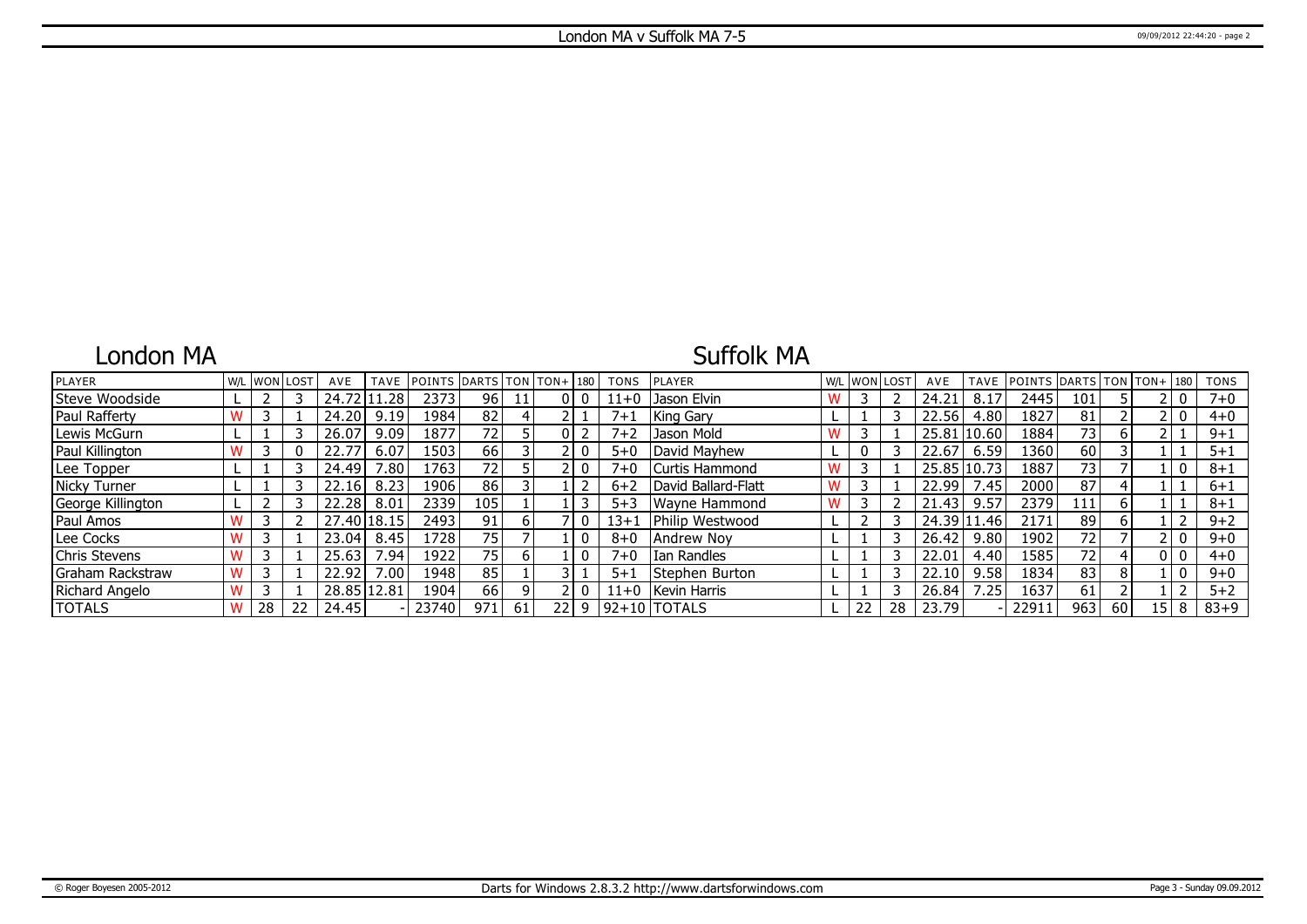### London MA

## Suffolk MA

| <b>PLAYER</b>     |   | W/L WON LOST |    | AVE         | <b>TAVE</b> | POINTS DARTS TON TON+ 180 |                 |    |     |   | <b>TONS</b> | <b>IPLAYER</b>        | W/L | <b>WON LOST</b> |    | AVE         | TAVE  | <b>POINTS</b> | DARTS TON TON+ 180 |                 |        | <b>TONS</b> |
|-------------------|---|--------------|----|-------------|-------------|---------------------------|-----------------|----|-----|---|-------------|-----------------------|-----|-----------------|----|-------------|-------|---------------|--------------------|-----------------|--------|-------------|
| Steve Woodside    |   |              |    | 24.72 11    | .28         | 2373                      | 96              | 11 | 0   |   | $11+0$      | Jason Elvin           |     |                 |    | 24.21       | 8.17  | 2445          | 101                |                 |        | $7 + 0$     |
| Paul Rafferty     |   |              |    | 24.20       | 9.19        | 1984                      | 82              | 4  |     |   | $7 + 1$     | King Gary             |     |                 |    | 22.56       | 4.80  | 1827          | 81                 |                 |        | $4 + 0$     |
| Lewis McGurn      |   |              |    | 26.07       | 9.09        | 1877                      | $\overline{72}$ |    | 0   |   | $7 + 2$     | Jason Mold            |     |                 |    | 25.81 10.60 |       | 1884          | 73                 |                 |        | $9 + 1$     |
| Paul Killington   |   |              |    | 22.77       | 6.07        | 1503'                     | 66              |    |     |   | $5 + 0$     | David Mayhew          |     |                 |    | 22.67       | 6.59  | 1360          | 60                 |                 |        | $5 + 1$     |
| Lee Topper        |   |              |    | 24.49       | 7.80        | 1763'                     | 72              |    |     |   | $7 + 0$     | Curtis Hammond        |     |                 |    | 25.85       | 10.73 | 1887          | 73 I               |                 |        | $8 + 1$     |
| Nicky Turner      |   |              |    | 22.16       | 8.23        | 1906                      | 86              |    |     |   | $6 + 2$     | David Ballard-Flatt   | W   |                 |    | 22.99       | 7.45  | 2000          | 87                 |                 |        | $6 + 1$     |
| George Killington |   |              |    | 22.28       | 8.01        | 2339                      | 105             |    |     |   | $5 + 3$     | Wayne Hammond         |     |                 |    | 21.43       | 9.57  | 2379          | 111                |                 |        | $8 + 1$     |
| Paul Amos         |   |              |    | 27.40 18.15 |             | 2493                      | 91              | 6  |     |   | $13+1$      | Philip Westwood       |     |                 |    | 24.39 11.46 |       | 2171          | 89                 |                 |        | $9 + 2$     |
| Lee Cocks         |   |              |    | 23.04       | 8.45        | 1728                      | 75              |    |     |   | $8 + 0$     | Andrew Noy            |     |                 |    | 26.42       | 9.80  | 1902          | 72 <sub>1</sub>    |                 |        | $9 + 0$     |
| Chris Stevens     |   |              |    | 25.63       | / .94       | 1922                      | 75              | 6  |     |   | $7 + 0$     | I Ian Randles         |     |                 |    | 22.01       | 4.40  | 1585          | 721                |                 |        | $4 + 0$     |
| Graham Rackstraw  | W |              |    | 22.92       | 7.00        | 1948                      | 85              |    |     |   | $5 + 1$     | <b>Stephen Burton</b> |     |                 |    | 22.10       | 9.58  | 1834          | 83                 |                 |        | $9 + 0$     |
| Richard Angelo    | W |              |    | 28.85 12.81 |             | 1904                      | 66              | 9  |     |   | $11+0$      | Kevin Harris          |     |                 |    | 26.84       | 7.25  | 1637          | 61                 |                 |        | $5 + 2$     |
| <b>TOTALS</b>     | W | 28           | 22 | 24.45       |             | 23740                     | 971             | 61 | 221 | 9 |             | $ 92+10 $ TOTALS      |     | 22              | 28 | 23.79       |       | 2291          | 963                | 60 <sup>1</sup> | 15   8 | $83 + 9$    |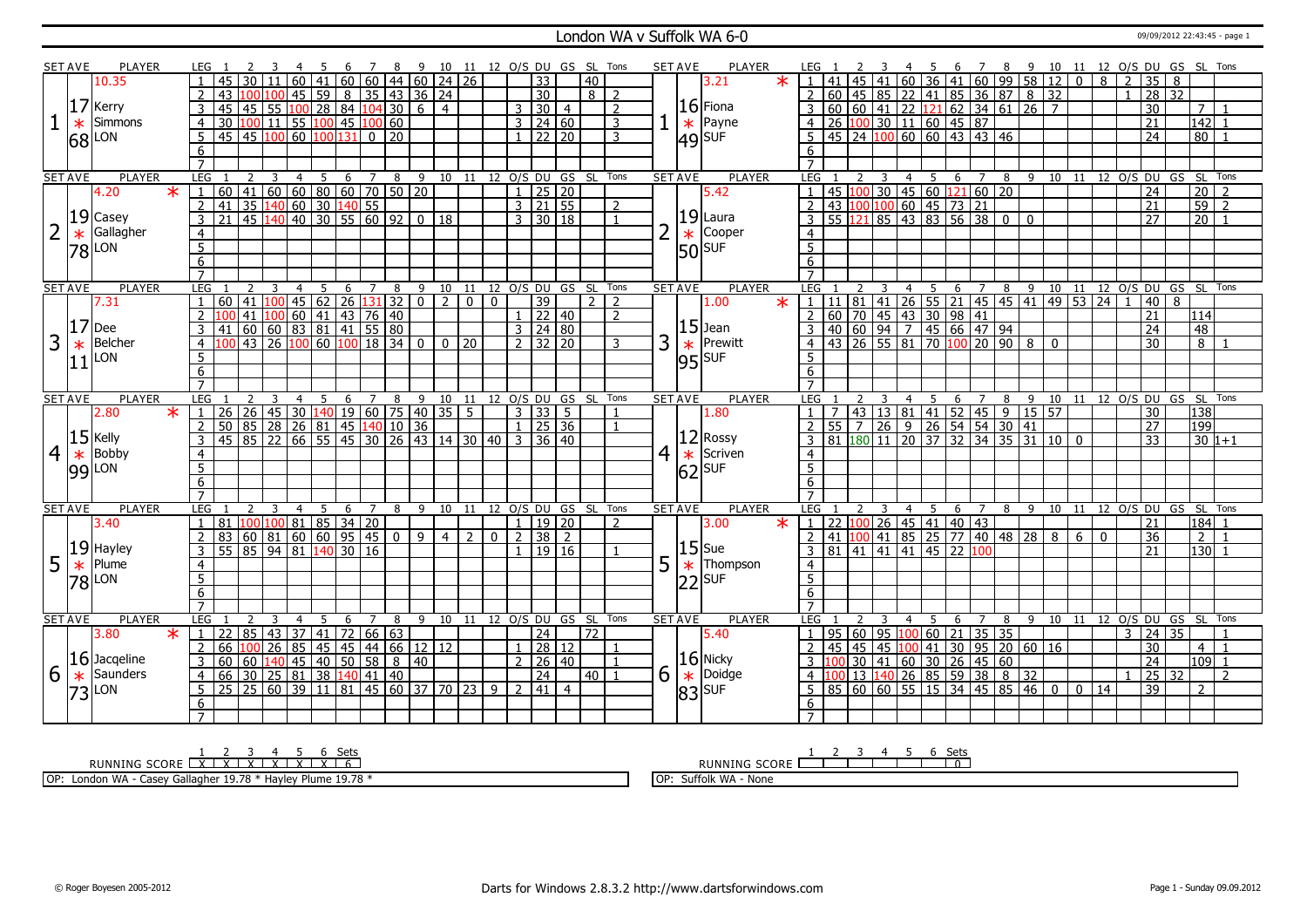#### London WA v Suffolk WA 6-0

|                | SET AVE        | PLAYER                    |                     |                                                                                                                                                                                                                                                                                                         |                |                                                                           |                |     |               |                |                   |                                      |                              |                         |                |                |                                   |   | 10 11 12 O/S DU GS SL Tons   |                          |   | <b>SET AVE</b> | <b>PLAYER</b>                       |         |                         |              |                      |                |                     |                                                                                                                      |                         |                          |     | 10                      |                |             |                 |                     | 12 O/S DU GS SL Tons               |                  |                                 |
|----------------|----------------|---------------------------|---------------------|---------------------------------------------------------------------------------------------------------------------------------------------------------------------------------------------------------------------------------------------------------------------------------------------------------|----------------|---------------------------------------------------------------------------|----------------|-----|---------------|----------------|-------------------|--------------------------------------|------------------------------|-------------------------|----------------|----------------|-----------------------------------|---|------------------------------|--------------------------|---|----------------|-------------------------------------|---------|-------------------------|--------------|----------------------|----------------|---------------------|----------------------------------------------------------------------------------------------------------------------|-------------------------|--------------------------|-----|-------------------------|----------------|-------------|-----------------|---------------------|------------------------------------|------------------|---------------------------------|
|                |                | 10.35                     |                     |                                                                                                                                                                                                                                                                                                         |                |                                                                           |                | 41  | 60            |                |                   | 60   44   60   24   26               |                              |                         |                |                | 33                                |   | $\overline{40}$              |                          |   |                | 3.21                                | $\star$ |                         |              |                      | 60             | 36                  |                                                                                                                      | $\frac{8}{41}$ 60 99 58 |                          |     | 12                      | $\mathbf{0}$   | 8           | 2               | 35                  | 8                                  |                  |                                 |
|                |                |                           | 2                   | 43                                                                                                                                                                                                                                                                                                      | 100 100        |                                                                           | 45 59          |     | $\boxed{8}$   |                |                   | 35   43   36   24                    |                              |                         |                |                | 30                                |   | $8\sqrt{2}$                  |                          |   |                |                                     |         | 60                      |              | $45 \mid 85 \mid 22$ |                | 41                  |                                                                                                                      | 85 36 87 8              |                          |     | $\overline{32}$         |                |             |                 | $\overline{28}$     | $\overline{32}$                    |                  |                                 |
|                |                | $17$ Kerry                |                     |                                                                                                                                                                                                                                                                                                         |                |                                                                           |                |     | 100 28 84 104 |                | $\overline{30}$   |                                      |                              |                         |                |                | $3 \times 30 + 4$                 |   |                              |                          |   |                | $16$ Fiona                          |         |                         |              |                      |                |                     | $60 \ 60 \ 41 \ 22 \ 121 \ 62 \ 34 \ 61 \ 26$                                                                        |                         |                          |     | $\overline{7}$          |                |             |                 | $\overline{30}$     |                                    |                  | $\overline{1}$                  |
|                |                |                           | $\overline{3}$      | 45                                                                                                                                                                                                                                                                                                      | 45             | 55 ا                                                                      |                |     |               |                |                   |                                      | $6 \mid 4$                   |                         |                |                |                                   |   |                              | $\overline{2}$           |   |                |                                     |         |                         |              |                      |                |                     |                                                                                                                      |                         |                          |     |                         |                |             |                 |                     |                                    | 7 <sup>1</sup>   |                                 |
|                | $\ast$         | Simmons                   | $\overline{4}$      | 30                                                                                                                                                                                                                                                                                                      |                | $\boxed{100}$ 11 55 100 45                                                |                |     |               |                | 100 60            |                                      |                              |                         |                |                | $3 \ 24 \ 60$                     |   |                              | $\overline{3}$           |   | $\ast$         | Payne                               |         | $\overline{4}$          |              |                      |                |                     |                                                                                                                      |                         |                          |     |                         |                |             |                 | $\overline{21}$     |                                    | $\overline{142}$ | $\overline{1}$                  |
|                |                | 68 LON                    | 5                   | $\sqrt{45}$ $\sqrt{45}$ $\sqrt{100}$ 60                                                                                                                                                                                                                                                                 |                |                                                                           |                |     | 1001131       |                | $\overline{0}$ 20 |                                      |                              |                         |                |                | $1$   22   20                     |   |                              | $\overline{3}$           |   |                | $ 49 $ su <sup>F</sup>              |         | 5                       |              |                      |                |                     |                                                                                                                      |                         |                          |     |                         |                |             |                 | $\overline{24}$     |                                    | $\overline{80}$  |                                 |
|                |                |                           | 6                   |                                                                                                                                                                                                                                                                                                         |                |                                                                           |                |     |               |                |                   |                                      |                              |                         |                |                |                                   |   |                              |                          |   |                |                                     |         |                         |              |                      |                |                     |                                                                                                                      |                         |                          |     |                         |                |             |                 |                     |                                    |                  |                                 |
|                |                |                           | $\overline{7}$      |                                                                                                                                                                                                                                                                                                         |                |                                                                           |                |     |               |                |                   |                                      |                              |                         |                |                |                                   |   |                              |                          |   |                |                                     |         |                         |              |                      |                |                     |                                                                                                                      |                         |                          |     |                         |                |             |                 |                     |                                    |                  |                                 |
|                | <b>SET AVE</b> | <b>PLAYER</b>             | LEG                 |                                                                                                                                                                                                                                                                                                         | 2              | 3                                                                         | $\overline{4}$ |     |               |                |                   | 5 6 7 8 9 10 11 12 O/S DU GS SL Tons |                              |                         |                |                |                                   |   |                              |                          |   | <b>SET AVE</b> | <b>PLAYER</b>                       |         | LEG                     |              | 3                    |                |                     | 4 5 6 7                                                                                                              |                         | $\overline{\phantom{0}}$ |     |                         |                |             |                 |                     | 9 10 11 12 O/S DU GS SL Tons       |                  |                                 |
|                |                | $\overline{\ast}$<br>4.20 | $\mathbf{1}$        |                                                                                                                                                                                                                                                                                                         |                |                                                                           |                |     |               |                |                   |                                      |                              |                         |                |                | $1 \mid 25 \mid 20$               |   |                              |                          |   |                | 5.42                                |         |                         |              |                      |                |                     | 45 100 30 45 60 121 60 20                                                                                            |                         |                          |     |                         |                |             |                 | $\overline{24}$     |                                    | $\overline{20}$  | $\overline{2}$                  |
|                |                |                           | $\overline{2}$      |                                                                                                                                                                                                                                                                                                         |                |                                                                           |                |     |               |                |                   |                                      |                              |                         |                |                | $3$ 21 55                         |   |                              | 2                        |   |                |                                     |         |                         |              |                      |                |                     | 43 100 100 60 45 73 21                                                                                               |                         |                          |     |                         |                |             |                 | $\overline{21}$     |                                    | $\overline{59}$  | $\overline{2}$                  |
|                |                | $19$ Casey                | $\overline{3}$      |                                                                                                                                                                                                                                                                                                         |                |                                                                           |                |     |               |                |                   |                                      |                              |                         |                |                | $3 \overline{)30 \overline{)18}$  |   |                              |                          |   |                | $\left  \frac{19}{1} \right $ Laura |         | $\mathbf{3}$            |              |                      |                |                     |                                                                                                                      |                         |                          |     |                         |                |             |                 | $\overline{27}$     |                                    | $\overline{20}$  | $\overline{1}$                  |
|                | $\ast$         | Gallagher                 | $\overline{4}$      |                                                                                                                                                                                                                                                                                                         |                |                                                                           |                |     |               |                |                   |                                      |                              |                         |                |                |                                   |   |                              |                          |   |                |                                     |         | $\overline{4}$          |              |                      |                |                     |                                                                                                                      |                         |                          |     |                         |                |             |                 |                     |                                    |                  |                                 |
|                |                | 78 LON                    | $\overline{5}$      |                                                                                                                                                                                                                                                                                                         |                |                                                                           |                |     |               |                |                   |                                      |                              |                         |                |                |                                   |   |                              |                          |   |                | $\frac{*}{50}$ Coop                 |         | $\overline{5}$          |              |                      |                |                     |                                                                                                                      |                         |                          |     |                         |                |             |                 |                     |                                    |                  |                                 |
|                |                |                           | 6                   |                                                                                                                                                                                                                                                                                                         |                |                                                                           |                |     |               |                |                   |                                      |                              |                         |                |                |                                   |   |                              |                          |   |                |                                     |         | 6                       |              |                      |                |                     |                                                                                                                      |                         |                          |     |                         |                |             |                 |                     |                                    |                  |                                 |
|                |                |                           | $\overline{7}$      |                                                                                                                                                                                                                                                                                                         |                |                                                                           |                |     |               |                |                   |                                      |                              |                         |                |                |                                   |   |                              |                          |   |                |                                     |         |                         |              |                      |                |                     |                                                                                                                      |                         |                          |     |                         |                |             |                 |                     |                                    |                  |                                 |
|                | <b>SET AVE</b> | <b>PLAYER</b>             | <b>LEG</b>          |                                                                                                                                                                                                                                                                                                         |                |                                                                           | $\overline{4}$ | - 5 | - 6           |                | 78                |                                      |                              |                         |                |                |                                   |   | 9 10 11 12 O/S DU GS SL Tons |                          |   | <b>SET AVE</b> | <b>PLAYER</b>                       |         | LEG                     |              |                      |                | $\overline{4}$<br>5 |                                                                                                                      |                         |                          |     |                         |                |             |                 |                     | 6 7 8 9 10 11 12 O/S DU GS SL Tons |                  |                                 |
|                |                | 7.31                      | $\overline{1}$      | 60                                                                                                                                                                                                                                                                                                      |                |                                                                           |                |     |               |                |                   |                                      |                              |                         | $\overline{0}$ |                | $\overline{39}$                   |   | $\overline{2}$               | $\overline{2}$           |   |                | 1.00                                | $\ast$  | $\cup \widehat{\bot}$ : |              |                      |                |                     |                                                                                                                      |                         |                          |     |                         |                |             |                 | 40                  | 8                                  |                  |                                 |
|                |                |                           |                     |                                                                                                                                                                                                                                                                                                         |                | 141 100 45 62 26 131 32<br>141 100 60 41 43 76 40<br>60 60 83 81 41 55 80 |                |     |               |                |                   |                                      |                              |                         |                |                | $1 \overline{)22} \overline{)40}$ |   |                              | $\overline{2}$           |   |                |                                     |         | $\overline{2}$          |              |                      |                |                     | 11 81 41 26 55 21 45 45 41 49 53 24 1<br>60 70 45 43 30 98 41<br>40 60 94 7 45 66 47 94                              |                         |                          |     |                         |                |             |                 | $\frac{1}{21}$      |                                    | 114              |                                 |
|                | 17             | Dee                       | $\overline{3}$      | 41                                                                                                                                                                                                                                                                                                      |                |                                                                           |                |     |               |                |                   |                                      |                              |                         |                |                | $3 \mid 24 \mid 80$               |   |                              |                          |   |                | $ 15 $ Jean                         |         |                         |              |                      |                |                     |                                                                                                                      |                         |                          |     |                         |                |             |                 | 24                  |                                    | $\overline{48}$  |                                 |
| 3              |                | Belcher                   |                     |                                                                                                                                                                                                                                                                                                         |                | 43   26 <mark>  100</mark>   60   100   18   34                           |                |     |               |                |                   |                                      |                              |                         |                |                | $2 \mid 32 \mid 20$               |   |                              |                          | 3 |                | Prewitt                             |         |                         |              |                      |                |                     | 43 26 55 81 70 100 20 90 8                                                                                           |                         |                          |     |                         |                |             |                 | $\overline{30}$     |                                    |                  |                                 |
|                | $\ast$         |                           | $\overline{4}$      |                                                                                                                                                                                                                                                                                                         |                |                                                                           |                |     |               |                |                   | $\overline{0}$                       |                              | $0$   20                |                |                |                                   |   |                              |                          |   |                |                                     |         | $\overline{4}$          |              |                      |                |                     |                                                                                                                      |                         |                          |     | $\overline{\mathbf{0}}$ |                |             |                 |                     |                                    | 8                |                                 |
|                | 11             | _ON                       | 5                   |                                                                                                                                                                                                                                                                                                         |                |                                                                           |                |     |               |                |                   |                                      |                              |                         |                |                |                                   |   |                              |                          |   |                | $\frac{1}{95}$ Prew                 |         |                         |              |                      |                |                     |                                                                                                                      |                         |                          |     |                         |                |             |                 |                     |                                    |                  |                                 |
|                |                |                           | 6                   |                                                                                                                                                                                                                                                                                                         |                |                                                                           |                |     |               |                |                   |                                      |                              |                         |                |                |                                   |   |                              |                          |   |                |                                     |         | 6                       |              |                      |                |                     |                                                                                                                      |                         |                          |     |                         |                |             |                 |                     |                                    |                  |                                 |
|                |                |                           | $\overline{7}$      |                                                                                                                                                                                                                                                                                                         |                |                                                                           |                |     |               |                |                   |                                      |                              |                         |                |                |                                   |   |                              |                          |   |                |                                     |         | $\overline{7}$          |              |                      |                |                     |                                                                                                                      |                         |                          |     |                         |                |             |                 |                     |                                    |                  |                                 |
|                |                |                           |                     |                                                                                                                                                                                                                                                                                                         |                |                                                                           |                |     |               |                |                   |                                      |                              |                         |                |                |                                   |   |                              |                          |   |                |                                     |         |                         |              |                      |                |                     |                                                                                                                      |                         |                          |     |                         |                |             |                 |                     |                                    |                  |                                 |
|                | <b>SET AVE</b> | <b>PLAYER</b>             | <b>LEG</b>          |                                                                                                                                                                                                                                                                                                         |                | 3                                                                         | 4              | -5  | 6             | $\overline{7}$ | 8                 |                                      | 9 10 11 12 O/S DU GS SL Tons |                         |                |                |                                   |   |                              |                          |   | <b>SET AVE</b> | <b>PLAYER</b>                       |         | LEG                     |              |                      |                | 4<br>5              | 6                                                                                                                    | $7\overline{ }$         |                          |     | 8 9 10 11               |                |             | 12 O/S DU GS SL |                     |                                    |                  | Tons                            |
|                |                | 2.80<br>$\ast$            | $\mathbf{1}$        |                                                                                                                                                                                                                                                                                                         |                |                                                                           |                |     |               |                |                   |                                      |                              |                         |                |                | 3 33 5                            |   |                              |                          |   |                | 1.80                                |         | $\overline{1}$          |              |                      |                |                     |                                                                                                                      |                         |                          |     |                         |                |             |                 | 30                  |                                    | 138              |                                 |
|                |                |                           | 2                   |                                                                                                                                                                                                                                                                                                         |                |                                                                           |                |     |               |                |                   |                                      |                              |                         |                |                | $1 \mid 25 \mid 36$               |   |                              |                          |   |                |                                     |         | $\overline{2}$          |              |                      |                |                     |                                                                                                                      |                         |                          |     |                         |                |             |                 | $\overline{27}$     |                                    | 199              |                                 |
|                |                | $15$ Kelly                | $\overline{3}$      | 126 26 45 30 140 19 60 75 40 35 5<br>50 85 28 26 81 45 140 10 36<br>45 85 22 66 55 45 30 26 43 14 30 40                                                                                                                                                                                                 |                |                                                                           |                |     |               |                |                   |                                      |                              |                         |                |                | $3 \mid 36 \mid 40$               |   |                              |                          |   |                | $ 12 $ Rossy                        |         |                         |              |                      |                |                     | 1 2 43 13 81 41 52 45 9 15 57<br>55 7 26 9 26 54 54 30 41<br>81 180 11 20 37 32 34 35 31 10 0                        |                         |                          |     |                         |                |             |                 | $\overline{33}$     |                                    | $30 1+1$         |                                 |
| 4 <sup>1</sup> | $\ast$         | Bobby                     | $\overline{4}$      |                                                                                                                                                                                                                                                                                                         |                |                                                                           |                |     |               |                |                   |                                      |                              |                         |                |                |                                   |   |                              |                          | 4 |                | $\star$ Scriven                     |         | $\overline{4}$          |              |                      |                |                     |                                                                                                                      |                         |                          |     |                         |                |             |                 |                     |                                    |                  |                                 |
|                |                |                           | $\overline{5}$      |                                                                                                                                                                                                                                                                                                         |                |                                                                           |                |     |               |                |                   |                                      |                              |                         |                |                |                                   |   |                              |                          |   |                |                                     |         | $\overline{5}$          |              |                      |                |                     |                                                                                                                      |                         |                          |     |                         |                |             |                 |                     |                                    |                  |                                 |
|                |                | $ 99 $ LON                | $\overline{6}$      |                                                                                                                                                                                                                                                                                                         |                |                                                                           |                |     |               |                |                   |                                      |                              |                         |                |                |                                   |   |                              |                          |   |                | $62$ SUF                            |         | $\overline{6}$          |              |                      |                |                     |                                                                                                                      |                         |                          |     |                         |                |             |                 |                     |                                    |                  |                                 |
|                |                |                           | $\overline{7}$      |                                                                                                                                                                                                                                                                                                         |                |                                                                           |                |     |               |                |                   |                                      |                              |                         |                |                |                                   |   |                              |                          |   |                |                                     |         |                         |              |                      |                |                     |                                                                                                                      |                         |                          |     |                         |                |             |                 |                     |                                    |                  |                                 |
|                | <b>SET AVE</b> | <b>PLAYER</b>             | <b>LEG</b>          |                                                                                                                                                                                                                                                                                                         |                | 3<br>$\overline{4}$                                                       |                | 5   | 6             | $\overline{7}$ | 8                 | - 9                                  |                              |                         |                |                |                                   |   | 10 11 12 O/S DU GS SL Tons   |                          |   | <b>SET AVE</b> | <b>PLAYER</b>                       |         | <b>LEG</b>              |              | 3                    | $\overline{4}$ | $5^{\circ}$         |                                                                                                                      | 6 <sub>7</sub>          | 8                        | - 9 |                         |                |             |                 |                     | 10 11 12 0/S DU GS SL Tons         |                  |                                 |
|                |                | 3.40                      | $\overline{1}$      | 81 100 100 81 85 34 20                                                                                                                                                                                                                                                                                  |                |                                                                           |                |     |               |                |                   |                                      |                              |                         |                |                | 1   19   20                       |   |                              | $\overline{\phantom{a}}$ |   |                | 3.00                                | $\star$ | $\overline{1}$ .        |              |                      |                |                     | 22 100 26 45 41 40 43                                                                                                |                         |                          |     |                         |                |             |                 | 21                  |                                    | $184$ 1          |                                 |
|                |                |                           | 2                   | 83 60 81 60 60 95 45                                                                                                                                                                                                                                                                                    |                |                                                                           |                |     |               |                | $\overline{0}$    | $\overline{9}$                       | $\overline{4}$               | $\overline{2}$          | $\overline{0}$ | $\overline{2}$ | 38                                | 2 |                              |                          |   |                |                                     |         |                         |              |                      |                |                     | 41 100 41 85 25 77 40 48 28 8                                                                                        |                         |                          |     |                         | 6              | $\mathbf 0$ |                 | 36                  |                                    | $\overline{2}$   |                                 |
|                |                |                           | $\overline{3}$      | $55 \ 85 \ 94 \ 81 \ 140 \ 30 \ 16$                                                                                                                                                                                                                                                                     |                |                                                                           |                |     |               |                |                   |                                      |                              |                         |                |                | $1 \mid 19 \mid 16$               |   |                              |                          |   |                |                                     |         | 3                       |              |                      |                |                     | 81 41 41 41 45 22 100                                                                                                |                         |                          |     |                         |                |             |                 | $\overline{21}$     |                                    | 130 1            |                                 |
|                |                | $19$ Hayley<br>Plume      |                     |                                                                                                                                                                                                                                                                                                         |                |                                                                           |                |     |               |                |                   |                                      |                              |                         |                |                |                                   |   |                              |                          |   |                | $15$ Sue<br>Thompson                |         | $\overline{4}$          |              |                      |                |                     |                                                                                                                      |                         |                          |     |                         |                |             |                 |                     |                                    |                  |                                 |
| 5              | $\ast$         |                           | $\overline{4}$      |                                                                                                                                                                                                                                                                                                         |                |                                                                           |                |     |               |                |                   |                                      |                              |                         |                |                |                                   |   |                              |                          | 5 | $\ast$         |                                     |         | $5\overline{5}$         |              |                      |                |                     |                                                                                                                      |                         |                          |     |                         |                |             |                 |                     |                                    |                  |                                 |
|                |                | <b>78</b> LON             | $\overline{5}$      |                                                                                                                                                                                                                                                                                                         |                |                                                                           |                |     |               |                |                   |                                      |                              |                         |                |                |                                   |   |                              |                          |   |                | $ 22 $ SUF                          |         |                         |              |                      |                |                     |                                                                                                                      |                         |                          |     |                         |                |             |                 |                     |                                    |                  |                                 |
|                |                |                           | 6                   |                                                                                                                                                                                                                                                                                                         |                |                                                                           |                |     |               |                |                   |                                      |                              |                         |                |                |                                   |   |                              |                          |   |                |                                     |         | 6                       |              |                      |                |                     |                                                                                                                      |                         |                          |     |                         |                |             |                 |                     |                                    |                  |                                 |
|                |                |                           | $\overline{7}$      |                                                                                                                                                                                                                                                                                                         |                |                                                                           |                |     |               |                |                   |                                      |                              |                         |                |                |                                   |   |                              |                          |   |                |                                     |         |                         |              |                      |                |                     |                                                                                                                      |                         |                          |     |                         |                |             |                 |                     |                                    |                  |                                 |
|                | <b>SET AVE</b> | PLAYER                    | <b>LEG</b>          |                                                                                                                                                                                                                                                                                                         | $\overline{2}$ | 3                                                                         | $\overline{4}$ | -5  | 6             | $7^{\circ}$    | 8                 |                                      |                              | 9 10 11 12 O/S DU GS SL |                |                |                                   |   |                              | Tons                     |   | <b>SET AVE</b> | <b>PLAYER</b>                       |         | LEG                     |              |                      | 4              | - 5                 | 6                                                                                                                    |                         |                          |     | 7 8 9 10 11             |                |             |                 |                     | 12 O/S DU GS SL                    |                  | Tons<br>$\overline{\mathbf{1}}$ |
|                |                | 3.80<br>$\star$           | $(\mathbf{1})$      |                                                                                                                                                                                                                                                                                                         |                |                                                                           |                |     |               |                |                   |                                      |                              |                         |                |                | 24                                |   | 72                           |                          |   |                | 5.40                                |         | $\vert$ 1               | 95 60 95 100 |                      |                | 60                  |                                                                                                                      | $21$ 35 35              |                          |     |                         |                |             |                 | $3 \mid 24 \mid 35$ |                                    |                  |                                 |
|                |                |                           | 2                   |                                                                                                                                                                                                                                                                                                         |                |                                                                           |                |     |               |                |                   |                                      |                              |                         |                |                | $1 \overline{)28 \overline{)12}$  |   |                              |                          |   |                |                                     |         | 45<br>$\overline{2}$    |              | 45 45 100            |                |                     | 41 30 95 20 60 16                                                                                                    |                         |                          |     |                         |                |             |                 | $\overline{30}$     |                                    | 4 I              | $\overline{1}$                  |
|                |                | $ 16 $ Jacqeline          | 3                   |                                                                                                                                                                                                                                                                                                         |                |                                                                           |                |     |               |                |                   |                                      |                              |                         |                |                | 2   26   40                       |   |                              |                          |   |                | $16$ Nicky                          |         | $3 \vert 100 \vert$     |              |                      |                |                     |                                                                                                                      |                         |                          |     |                         |                |             |                 | $\overline{24}$     |                                    | 109              | $\overline{1}$                  |
| 6              | $\ast$         | Saunders                  | $\overline{4}$      | $\begin{array}{ c c c c c c c c c } \hline 12 & 85 & 43 & 37 & 41 & 72 & 66 & 63 & 70 \ \hline 66 & 100 & 26 & 85 & 45 & 45 & 44 & 66 & 12 & 12 \ \hline 60 & 60 & 140 & 45 & 40 & 50 & 58 & 8 & 40 \ \hline 66 & 30 & 25 & 81 & 38 & 140 & 41 & 40 & 50 & 50 & 50 \ \hline 66 & 30 & 25 & 81 & 38 & 1$ |                |                                                                           |                |     |               |                |                   |                                      |                              |                         |                |                | $\overline{24}$                   |   | 40 l                         |                          | 6 | $\ast$         | Doidge                              |         | 4                       |              |                      |                |                     |                                                                                                                      |                         |                          |     |                         |                |             |                 | $\overline{25}$     | 32                                 |                  | $\overline{2}$                  |
|                | 73             | LON                       | 5                   | 25 25 60 39 11 81 45 60 37 70 23 9                                                                                                                                                                                                                                                                      |                |                                                                           |                |     |               |                |                   |                                      |                              |                         |                |                | 2  41  4                          |   |                              |                          |   |                | $ 83 $ SUF                          |         |                         |              |                      |                |                     | $\frac{100}{30}$ 30 41 60 30 26 45 60 $\approx$<br>100 30 41 60 30 26 45 60 $\approx$<br>100 13 140 26 85 59 38 8 32 |                         |                          |     |                         | $\overline{0}$ | 14          |                 | $\overline{39}$     |                                    | $2^{\circ}$      |                                 |
|                |                |                           | 6<br>$\overline{7}$ |                                                                                                                                                                                                                                                                                                         |                |                                                                           |                |     |               |                |                   |                                      |                              |                         |                |                |                                   |   |                              |                          |   |                |                                     |         | 6                       |              |                      |                |                     |                                                                                                                      |                         |                          |     |                         |                |             |                 |                     |                                    |                  |                                 |

RUNNING SCORE 1 X 2 X 3 X 4 X 5 X 6 X Sets 6

OP: London WA - Casey Gallagher 19.78 \* Hayley Plume 19.78 \*

RUNNING SCORE 1 2 3 4 5 6 Sets 0

OP: Suffolk WA - None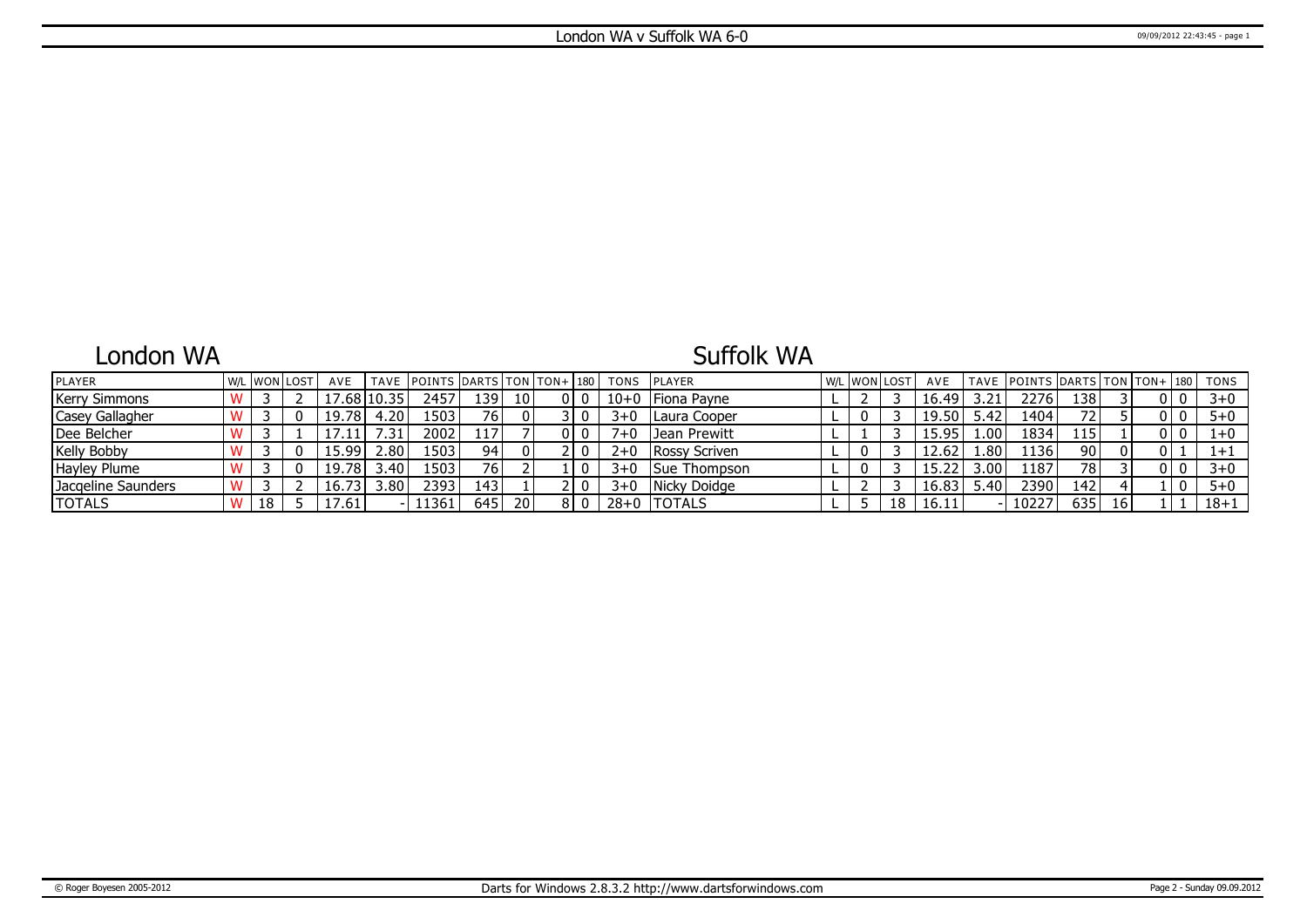### London WA

# Suffolk WA

| <b>IPLAYER</b>       |    | W/L WON LOST | AVE   |                   | TAVE POINTS DARTS TON TON+ 180 |                  |                 |    | TONS     | <b>IPLAYER</b> | l W/L | . WON LOST |    | AVE   |                   |       |      | TAVE POINTS DARTS TON TON+ 180 | TONS     |
|----------------------|----|--------------|-------|-------------------|--------------------------------|------------------|-----------------|----|----------|----------------|-------|------------|----|-------|-------------------|-------|------|--------------------------------|----------|
| <b>Kerry Simmons</b> |    |              |       | $17.68$ $ 10.35 $ | 2457                           | 139              | 10 <sub>l</sub> |    | $10 + 0$ | Fiona Payne    |       |            |    | 16.49 | 3.21              | 2276  | 138  |                                | $3 + 0$  |
| Casey Gallagher      |    |              | 19.78 | 4.20              | ا 1503                         | 76               | - 0 I           |    | $3+0$    | Laura Cooper   |       |            |    | 19.50 | 5.42              | 1404  |      |                                | $5 + 0$  |
| Dee Belcher          |    |              |       | .31               | 2002                           | 117'             |                 |    | $7 + 0$  | Jean Prewitt   |       |            |    | 15.95 | 1.00              | 1834  | 115  |                                |          |
| <b>Kelly Bobby</b>   |    |              | 15.99 | 2.80              | 1503'                          | 94               | $\mathbf 0$     |    | $2+0$    | Rossy Scriven  |       |            |    | 12.62 | .80               | 1136  | 90   |                                | $1+1$    |
| Hayley Plume         |    |              | 19.78 | 3.40              | 1503'                          | 76 I             |                 |    | $3+0$    | Sue Thompson   |       |            |    |       | 3.00 <sup>1</sup> | 1187  | 78 I |                                | $3 + 0$  |
| Jacgeline Saunders   |    |              | 16.73 | 3.80              | 2393                           | 143 <sup>1</sup> |                 |    | $3 + 0$  | Nicky Doidge   |       |            |    | 16.83 | 5.40              | 2390  | 142  |                                | $5 + 0$  |
| <b>TOTALS</b>        | 18 |              | 7.61  |                   | 11361                          | 645              | 20              | 81 |          | 28+0  TOTALS   |       |            | 18 | 16.11 |                   | ־022ء | 635  |                                | $18 + 1$ |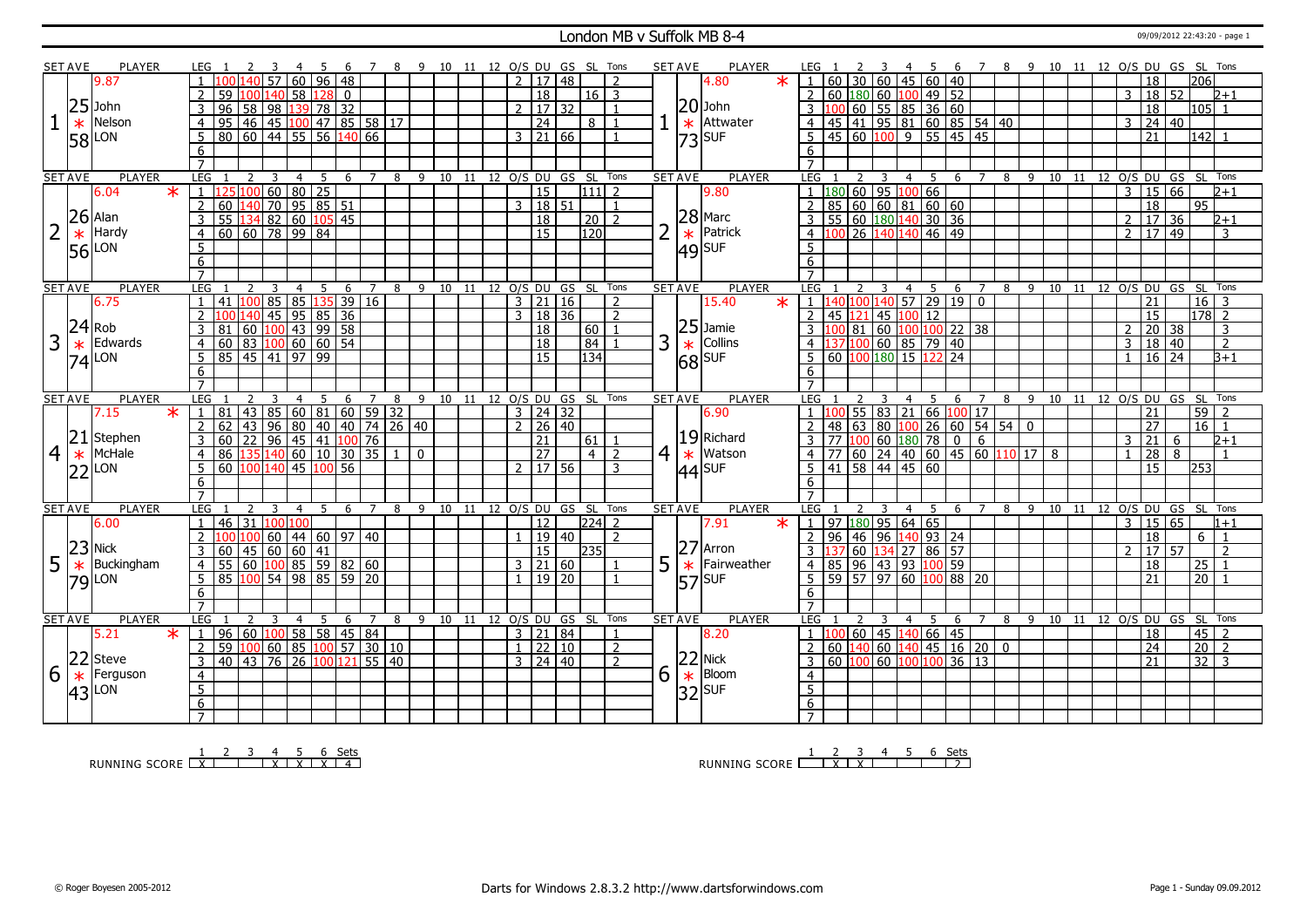#### London MB v Suffolk MB 8-4 09/09/2012 22:43:20 - page 1

|                | <b>SET AVE</b> | <b>PLAYER</b>   |   | LEG 1                                    | -3                                                           |     |                      |                |   | 4 5 6 7 8 9 10 11 12 O/S DU GS SL Tons |                              |                |                     |    |                 |                |                | <b>SET AVE</b><br>PLAYER                      | LEG 1                                                                                                   |                                                                            | 2 3 |                |                         | 4 5 6 7 8 9 10 11 12 O/S DU GS SL Tons |                |     |        |  |                |                     |                                    |                 |                          |
|----------------|----------------|-----------------|---|------------------------------------------|--------------------------------------------------------------|-----|----------------------|----------------|---|----------------------------------------|------------------------------|----------------|---------------------|----|-----------------|----------------|----------------|-----------------------------------------------|---------------------------------------------------------------------------------------------------------|----------------------------------------------------------------------------|-----|----------------|-------------------------|----------------------------------------|----------------|-----|--------|--|----------------|---------------------|------------------------------------|-----------------|--------------------------|
|                |                | 9.87            |   |                                          | 60                                                           |     | $96$   48            |                |   |                                        |                              | $\overline{2}$ | 17                  | 48 |                 |                |                | 4.80                                          |                                                                                                         | l 60 l                                                                     |     |                | 30   60   45   60   40  |                                        |                |     |        |  |                | 18                  |                                    | 206             |                          |
|                |                |                 |   | 59                                       | $140$ 58                                                     |     | $128$ 0              |                |   |                                        |                              |                | $\overline{18}$     |    | 16   3          |                |                |                                               | 2   60   180   60   100   49   52                                                                       |                                                                            |     |                |                         |                                        |                |     |        |  | 3              | 18 52               |                                    |                 | 2+1                      |
|                |                | $25$ John       |   | 3<br>96                                  | 58 98 139 78 32                                              |     |                      |                |   |                                        |                              |                | 2   17   32         |    |                 | $\mathbf{1}$   |                | $ 20 $ John                                   |                                                                                                         | 3 100 60 55 85 36 60                                                       |     |                |                         |                                        |                |     |        |  |                | 18                  |                                    | l105   1        |                          |
|                | $\ast$         | Nelson          |   | $\overline{4}$<br>95                     | 46 45 100 47 85 58 17                                        |     |                      |                |   |                                        |                              |                | 24                  |    | 8   1           |                |                | Attwater<br>$\ast$                            |                                                                                                         | 4 45 41 95 81 60 85 54 40                                                  |     |                |                         |                                        |                |     |        |  | $\mathcal{E}$  | 24 40               |                                    |                 |                          |
|                |                |                 |   | 5<br>$\overline{80}$                     |                                                              |     |                      |                |   |                                        |                              |                | $3 \mid 21 \mid 66$ |    |                 | $\mathbf{1}$   |                |                                               |                                                                                                         | 5 45 60 100 9 55 45 45                                                     |     |                |                         |                                        |                |     |        |  |                | $\overline{21}$     |                                    | $142$ 1         |                          |
|                |                | 58 LON          |   | 6                                        |                                                              |     |                      |                |   |                                        |                              |                |                     |    |                 |                |                | $ 73 $ SUF                                    | 6                                                                                                       |                                                                            |     |                |                         |                                        |                |     |        |  |                |                     |                                    |                 |                          |
|                |                |                 |   | $\overline{7}$                           |                                                              |     |                      |                |   |                                        |                              |                |                     |    |                 |                |                |                                               | $\overline{7}$                                                                                          |                                                                            |     |                |                         |                                        |                |     |        |  |                |                     |                                    |                 |                          |
|                | <b>SET AVE</b> | <b>PLAYER</b>   |   | LEG<br>$\overline{2}$                    | $\overline{3}$<br>$\overline{4}$                             | 5   |                      |                |   | 6 7 8 9 10 11 12 0/S DU GS SL Tons     |                              |                |                     |    |                 |                |                | <b>SET AVE</b><br><b>PLAYER</b>               | LEG <sub>1</sub>                                                                                        |                                                                            | 2 3 |                | 4 5                     |                                        |                |     |        |  |                |                     | 6 7 8 9 10 11 12 0/S DU GS SL Tons |                 |                          |
|                |                | 6.04<br>$\ast$  |   | $\mathbf{1}$<br>100                      | 60 80 25                                                     |     |                      |                |   |                                        |                              |                | $\overline{15}$     |    | 11112           |                |                | 9.80                                          | $1 \overline{180}$ 60 95 100 66                                                                         |                                                                            |     |                |                         |                                        |                |     |        |  | $\mathcal{E}$  | 15 66               |                                    |                 | $\sqrt{2+1}$             |
|                |                |                 |   | $\overline{2}$<br>60                     | $140$ 70 95 85 51                                            |     |                      |                |   |                                        |                              |                | 3   18   51         |    |                 | $\overline{1}$ |                |                                               | 2   85   60   60   81   60   60                                                                         |                                                                            |     |                |                         |                                        |                |     |        |  |                | 18                  |                                    | 95              |                          |
|                |                | $26$ Alan       | 3 | 55                                       | 134 82 60 105 45                                             |     |                      |                |   |                                        |                              |                | 18                  |    | 20              |                |                |                                               |                                                                                                         | 3   55   60   180   140   30   36                                          |     |                |                         |                                        |                |     |        |  | $\overline{2}$ | 17                  | 36                                 |                 | $2 + 1$                  |
| 2              |                | Hardy           |   | 60   60   78   99   84<br>$\overline{4}$ |                                                              |     |                      |                |   |                                        |                              |                | $\overline{15}$     |    | 120             |                |                | $28$ Marc<br>$\frac{1}{10}$ Patric<br>Patrick |                                                                                                         | 4 100 26 140 140 46 49                                                     |     |                |                         |                                        |                |     |        |  | $\overline{2}$ | 17 49               |                                    |                 | 3                        |
|                | $\ast$         |                 |   |                                          |                                                              |     |                      |                |   |                                        |                              |                |                     |    |                 |                |                |                                               | 5                                                                                                       |                                                                            |     |                |                         |                                        |                |     |        |  |                |                     |                                    |                 |                          |
|                |                | 56 LON          |   | $5\overline{)}$                          |                                                              |     |                      |                |   |                                        |                              |                |                     |    |                 |                |                | $ 49 $ SUF                                    |                                                                                                         |                                                                            |     |                |                         |                                        |                |     |        |  |                |                     |                                    |                 |                          |
|                |                |                 |   | 6<br>$\overline{7}$                      |                                                              |     |                      |                |   |                                        |                              |                |                     |    |                 |                |                |                                               | 6<br>$\overline{7}$                                                                                     |                                                                            |     |                |                         |                                        |                |     |        |  |                |                     |                                    |                 |                          |
|                | <b>SET AVE</b> | <b>PLAYER</b>   |   | LEG                                      | $\overline{4}$                                               | 5   |                      | 7              | 8 | 9 10 11 12 O/S DU GS SL Tons           |                              |                |                     |    |                 |                |                | <b>SET AVE</b><br><b>PLAYER</b>               | LEG                                                                                                     |                                                                            |     |                | -5                      |                                        |                |     | 8 9 10 |  |                |                     | 11 12 O/S DU GS SL Tons            |                 |                          |
|                |                | 6.75            |   | 41                                       | $100$ 85 85 135 39 16                                        |     | -6                   |                |   |                                        |                              |                | $3 \mid 21 \mid 16$ |    |                 | $\overline{2}$ |                | 15.40<br>$\ast$                               | $1 \overline{140} \overline{100} \overline{140} \overline{57} \overline{29} \overline{19} \overline{0}$ |                                                                            |     | $\overline{4}$ |                         | 6                                      | 7              |     |        |  |                | 21                  |                                    | $16 \mid 3$     |                          |
|                |                |                 |   | $\overline{2}$<br>140                    | 45                                                           |     | $95 \mid 85 \mid 36$ |                |   |                                        |                              |                | $3 \mid 18 \mid 36$ |    |                 | $\overline{2}$ |                |                                               |                                                                                                         | $2$ 45 121                                                                 |     |                | 45 100 12               |                                        |                |     |        |  |                | $\overline{15}$     |                                    | $178$ 2         |                          |
|                | $24$ Rob       |                 |   | 3<br>81                                  | $\boxed{60}$ $\boxed{100}$ 43 99 58                          |     |                      |                |   |                                        |                              |                |                     |    |                 | $\overline{1}$ |                | $25$ Jamie                                    |                                                                                                         | $3 \mid 100 \mid 81 \mid 60 \mid 100 \mid 100 \mid 22 \mid 38$             |     |                |                         |                                        |                |     |        |  | $\overline{2}$ |                     |                                    |                 |                          |
| 3              |                |                 |   | $60$ 83 100 60 60 54                     |                                                              |     |                      |                |   |                                        |                              |                | 18                  |    | 60              |                |                | Collins                                       |                                                                                                         |                                                                            |     |                |                         |                                        |                |     |        |  |                | 20 38<br>18   40    |                                    |                 | 3                        |
|                | $\ast$         | Edwards         |   | $\overline{4}$                           |                                                              |     |                      |                |   |                                        |                              |                | $ 18\rangle$        |    | $\sqrt{84}$     |                | 3              |                                               | 4 11                                                                                                    | 137 100 60 85 79 40                                                        |     |                |                         |                                        |                |     |        |  | 3              |                     |                                    |                 | $\overline{2}$           |
|                |                | $74$ LON        |   | 85 45 41 97 99<br>5                      |                                                              |     |                      |                |   |                                        |                              |                | 15                  |    | 134             |                |                | k<br>68<br>SUF                                | $\overline{5}$                                                                                          | 60 100 180 15 122 24                                                       |     |                |                         |                                        |                |     |        |  | $\overline{1}$ | $16 \overline{)24}$ |                                    |                 | $\overline{B+1}$         |
|                |                |                 | 6 |                                          |                                                              |     |                      |                |   |                                        |                              |                |                     |    |                 |                |                |                                               | 6                                                                                                       |                                                                            |     |                |                         |                                        |                |     |        |  |                |                     |                                    |                 |                          |
|                |                |                 |   | $\overline{7}$<br><b>LEG</b>             |                                                              |     |                      |                |   |                                        |                              |                |                     |    |                 |                |                | <b>PLAYER</b>                                 | LEG                                                                                                     |                                                                            |     |                |                         |                                        |                |     |        |  |                |                     |                                    |                 |                          |
|                | <b>SET AVE</b> | <b>PLAYER</b>   |   |                                          | $\overline{4}$                                               |     | 6                    |                | 8 |                                        | 9 10 11 12 O/S DU GS SL Tons |                |                     |    |                 |                |                | <b>SET AVE</b>                                |                                                                                                         |                                                                            |     | $\overline{4}$ | 5                       | 6                                      |                | 8 9 |        |  |                |                     | 10 11 12 O/S DU GS SL Tons         |                 |                          |
|                |                |                 |   |                                          |                                                              |     |                      |                |   |                                        |                              |                |                     |    |                 |                |                |                                               |                                                                                                         |                                                                            |     |                |                         |                                        |                |     |        |  |                |                     |                                    |                 |                          |
|                |                | $\star$<br>7.15 |   | 43<br>81                                 | 85 60 81 60 59 32                                            |     |                      |                |   |                                        |                              |                | $3 \mid 24 \mid 32$ |    |                 |                |                | 6.90                                          |                                                                                                         |                                                                            |     |                |                         | $55 \ 83 \ 21 \ 66 \ 100 \ 17$         |                |     |        |  |                | 21                  |                                    | 59              |                          |
|                |                |                 |   | $\overline{2}$<br>43<br>62               | 96                                                           |     | 80 40 40 74 26 40    |                |   |                                        |                              |                | 2   26   40         |    |                 |                |                |                                               | $\overline{2}$                                                                                          | 48                                                                         |     |                |                         |                                        |                |     |        |  |                | $\overline{27}$     |                                    | 16              | $\vert$ 1                |
|                |                | $21$ Stephen    |   | 60<br>3                                  |                                                              |     |                      |                |   |                                        |                              |                | $\overline{21}$     |    | 61              |                |                | $ 19 $ Richard                                |                                                                                                         | 3 77 100 60 180 78                                                         |     |                |                         | $\mathbf 0$                            | 6              |     |        |  | 3              | 21                  | 6                                  |                 | $2+1$                    |
| $\overline{4}$ | $\ast$         | McHale          |   | $\overline{4}$<br>86                     |                                                              |     |                      |                |   | $\Omega$                               |                              |                | $\overline{27}$     |    | $4\overline{2}$ |                | 4 <sup>1</sup> | Watson<br>$\ast$                              |                                                                                                         | $4$   77   60   24   40   60   45   60   110   17   8                      |     |                |                         |                                        |                |     |        |  | $\overline{1}$ | $\overline{28}$     | 8                                  |                 |                          |
|                |                |                 |   | 5 <sup>2</sup><br>60<br>100              | $140$ 45                                                     | 100 | 56                   |                |   |                                        |                              |                | $2 \mid 17 \mid 56$ |    |                 | 3              |                |                                               |                                                                                                         | 5   41   58   44   45   60                                                 |     |                |                         |                                        |                |     |        |  |                | 15                  |                                    | 253             |                          |
|                |                | $ 22 $ LON      |   | 6                                        |                                                              |     |                      |                |   |                                        |                              |                |                     |    |                 |                |                | $ 44 $ SUF                                    | 6                                                                                                       |                                                                            |     |                |                         |                                        |                |     |        |  |                |                     |                                    |                 |                          |
|                |                |                 |   | $\overline{7}$                           |                                                              |     |                      |                |   |                                        |                              |                |                     |    |                 |                |                |                                               | $\overline{7}$                                                                                          |                                                                            |     |                |                         |                                        |                |     |        |  |                |                     |                                    |                 |                          |
|                | <b>SET AVE</b> | <b>PLAYER</b>   |   | LEG                                      | -3<br>4                                                      | .5. | - 6                  | $\overline{7}$ |   | 8 9 10 11 12 O/S DU GS SL Tons         |                              |                |                     |    |                 |                |                | <b>PLAYER</b><br><b>SET AVE</b>               | <b>LEG</b>                                                                                              | $\mathcal{L}$                                                              |     | $\overline{4}$ | 5                       |                                        |                |     |        |  |                |                     | 6 7 8 9 10 11 12 O/S DU GS SL Tons |                 |                          |
|                |                | 6.00            |   | 46<br> 31<br>$\mathbf{1}$                | 100<br>100                                                   |     |                      |                |   |                                        |                              |                | $\overline{12}$     |    | $ 224 $ 2       |                |                | 7.91<br>$\ast$                                | 1   97   180   95   64   65                                                                             |                                                                            |     |                |                         |                                        |                |     |        |  | $\overline{3}$ | 15 65               |                                    |                 | $1 + 1$                  |
|                |                |                 |   | $\overline{2}$                           | 60                                                           |     | $144$ 60 97 40       |                |   |                                        |                              |                | 1   19   40         |    |                 | $\overline{2}$ |                |                                               | $2 \mid 96$                                                                                             |                                                                            |     |                | 46 96 140 93 24         |                                        |                |     |        |  |                | $\overline{18}$     |                                    | 6               | $\overline{1}$           |
|                |                | $23$ Nick       |   | 3<br>60<br>45                            | $\frac{160}{60}$ 60 41                                       |     |                      |                |   |                                        |                              |                | 15                  |    | 235             |                |                | 27<br>Arron                                   |                                                                                                         |                                                                            |     |                | 60   134   27   86   57 |                                        |                |     |        |  | $\mathcal{L}$  | 17                  | 57                                 |                 | $\overline{\phantom{0}}$ |
| 5              | $\ast$         | Buckingham      |   | $\overline{60}$<br>55<br>$\overline{4}$  | 100855598260                                                 |     |                      |                |   |                                        |                              |                | 3   21   60         |    |                 |                | 5              | Fairweather                                   |                                                                                                         | 4 85 96 43 93 100 59                                                       |     |                |                         |                                        |                |     |        |  |                | 18                  |                                    | 25              |                          |
|                |                |                 |   | 85 100 54 98 85 59 20<br>5 <sup>1</sup>  |                                                              |     |                      |                |   |                                        |                              |                | $1 \mid 19 \mid 20$ |    |                 | $\mathbf{1}$   |                | $\ast$                                        | 5   59   57   97   60   100   88   20                                                                   |                                                                            |     |                |                         |                                        |                |     |        |  |                | 21                  |                                    | $20$   1        |                          |
|                |                | $79$ LON        |   | 6                                        |                                                              |     |                      |                |   |                                        |                              |                |                     |    |                 |                |                | $ 57 $ SUF                                    | 6                                                                                                       |                                                                            |     |                |                         |                                        |                |     |        |  |                |                     |                                    |                 |                          |
|                |                |                 |   | $\overline{7}$                           |                                                              |     |                      |                |   |                                        |                              |                |                     |    |                 |                |                |                                               | $\overline{7}$                                                                                          |                                                                            |     |                |                         |                                        |                |     |        |  |                |                     |                                    |                 |                          |
|                | <b>SET AVE</b> | <b>PLAYER</b>   |   | LEG<br>$\mathcal{L}$                     | $\mathcal{R}$<br>$\overline{4}$                              | .5. | -6                   | $\overline{7}$ | 8 | 9 10 11 12 0/S DU GS SL Tons           |                              |                |                     |    |                 |                |                | <b>SET AVE</b><br><b>PLAYER</b>               | LEG                                                                                                     |                                                                            | २   | $\overline{4}$ | - 5                     | - 6                                    | $\overline{7}$ | -8  |        |  |                |                     | 9 10 11 12 O/S DU GS SL Tons       |                 |                          |
|                |                | $\star$<br>5.21 |   | 96<br>$\overline{1}$                     | $\mid$ 60 $\mid$ 100 $\mid$ 58 $\mid$ 58 $\mid$ 45 $\mid$ 84 |     |                      |                |   |                                        |                              |                | 3   21   84         |    |                 | $\mathbf{1}$   |                | 8.20                                          | $1 \overline{100}$                                                                                      |                                                                            |     |                |                         |                                        |                |     |        |  |                | 18                  |                                    | $45 \mid 2$     |                          |
|                |                |                 |   | $\overline{2}$<br>59<br>100              | 60 85 100 57 30 10                                           |     |                      |                |   |                                        |                              |                | $1 \ 22 \ 10$       |    |                 | 2              |                |                                               | 2                                                                                                       | $\boxed{60}$ $\boxed{140}$ 60 $\boxed{140}$ 45 $\boxed{16}$ 20 $\boxed{0}$ |     |                |                         |                                        |                |     |        |  |                | $\overline{24}$     |                                    | $\overline{20}$ | $\sqrt{2}$               |
|                |                | 22 Steve        |   | 40 43 76 26 100 121 55 40<br>3           |                                                              |     |                      |                |   |                                        |                              |                | $3 \mid 24 \mid 40$ |    |                 | $\overline{z}$ |                | $22$ Nick                                     |                                                                                                         | $3   60   100   60   100   100   36   13$                                  |     |                |                         |                                        |                |     |        |  |                | $\overline{21}$     |                                    | $32 \mid 3$     |                          |
| 6              |                | Ferguson        |   | $\overline{4}$                           |                                                              |     |                      |                |   |                                        |                              |                |                     |    |                 |                |                | Bloom                                         | $\overline{4}$                                                                                          |                                                                            |     |                |                         |                                        |                |     |        |  |                |                     |                                    |                 |                          |
|                | $\ast$         |                 |   |                                          |                                                              |     |                      |                |   |                                        |                              |                |                     |    |                 |                | 6              | $\ast$                                        |                                                                                                         |                                                                            |     |                |                         |                                        |                |     |        |  |                |                     |                                    |                 |                          |
|                |                | $ 43 $ LON      |   | $\overline{5}$<br>6                      |                                                              |     |                      |                |   |                                        |                              |                |                     |    |                 |                |                | $32$ SUF                                      | $\overline{5}$<br>6                                                                                     |                                                                            |     |                |                         |                                        |                |     |        |  |                |                     |                                    |                 |                          |

RUNNING SCORE <u>| X | X | X | X | X | 4</u><br>RUNNING SCORE <u>| X | X | X | X | 4</u>

RUNNING SCORE 1 2 X 3 X 4 5 6 Sets 2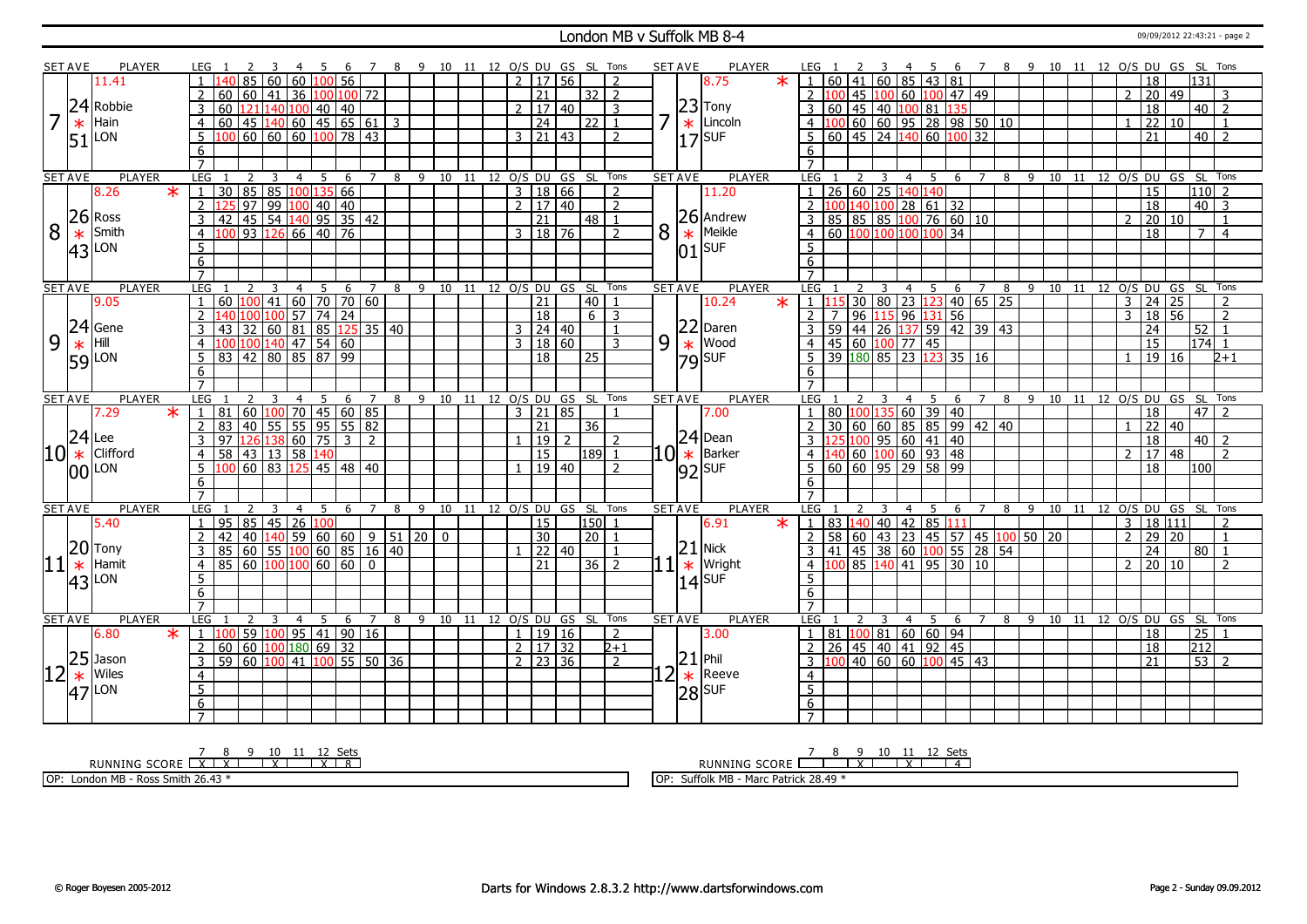#### London MB v Suffolk MB 8-4 09/09/2012 22:43:21 - page 2

|                               | <b>SET AVE</b> | PLAYER                  | LEG 1                                                                                      | - 6                                  | $\overline{7}$       | 8 9 10 11 12 O/S DU GS SL Tons |                              |                             |                |                 |                          |   | <b>SET AVE</b>   | PLAYER             | LEG .               |                                                                                                 |                         |            | - 6                                                                           |                     |              |    |    |                |                 |                            | 7 8 9 10 11 12 O/S DU GS SL Tons |
|-------------------------------|----------------|-------------------------|--------------------------------------------------------------------------------------------|--------------------------------------|----------------------|--------------------------------|------------------------------|-----------------------------|----------------|-----------------|--------------------------|---|------------------|--------------------|---------------------|-------------------------------------------------------------------------------------------------|-------------------------|------------|-------------------------------------------------------------------------------|---------------------|--------------|----|----|----------------|-----------------|----------------------------|----------------------------------|
|                               |                | 11.41                   | 60<br>60                                                                                   | $100$ 56                             |                      |                                |                              | $\boxed{2}$ $\boxed{17}$ 56 |                |                 | $\overline{z}$           |   |                  | $\ast$<br>8.75     |                     | 60 41 60 85 43 81                                                                               |                         |            |                                                                               |                     |              |    |    |                | 18              | 131                        |                                  |
|                               |                |                         | $\overline{2}$<br>36<br>  60   41  <br>60                                                  | 100 100 72                           |                      |                                |                              | 21                          |                | $32\sqrt{2}$    |                          |   |                  |                    |                     | 2 100                                                                                           |                         |            | 45 100 60 100 47 49                                                           |                     |              |    |    | $\mathcal{P}$  | 20 49           |                            | २                                |
|                               |                | 24 Robbie               | 60<br>3<br>121                                                                             | 140 100 40 40                        |                      |                                |                              | 2   17   40                 |                |                 | 3                        |   |                  | $ 23 $ Tony        |                     | 3 60 45 40 100 81 135                                                                           |                         |            |                                                                               |                     |              |    |    |                | 18              | 40                         | $\vert$ 2                        |
|                               | $\ast$         | Hain                    | $145$ 140 60 45 65 61 3<br>$\overline{4}$<br>60                                            |                                      |                      |                                |                              | 24                          |                | $22$   1        |                          |   |                  | $\star$   Lincoln  |                     | $4 \mid 100 \mid 60 \mid 60 \mid 95 \mid 28 \mid 98 \mid 50 \mid 10$                            |                         |            |                                                                               |                     |              |    |    | $\mathbf{1}$   | $\overline{22}$ | 10                         |                                  |
|                               |                |                         | 60 60 60 100 78 43<br>$\overline{5}$                                                       |                                      |                      |                                |                              | $3 \mid 21 \mid 43$         |                |                 | $\overline{2}$           |   |                  |                    |                     | $5   60   45   24   140   60   100   32$                                                        |                         |            |                                                                               |                     |              |    |    |                | $\overline{21}$ |                            | $40$   2                         |
|                               |                | $51$ <sup>LON</sup>     | 6                                                                                          |                                      |                      |                                |                              |                             |                |                 |                          |   |                  | $17$ SUF           | 6                   |                                                                                                 |                         |            |                                                                               |                     |              |    |    |                |                 |                            |                                  |
|                               |                |                         | $\overline{7}$                                                                             |                                      |                      |                                |                              |                             |                |                 |                          |   |                  |                    | $\overline{7}$      |                                                                                                 |                         |            |                                                                               |                     |              |    |    |                |                 |                            |                                  |
|                               | <b>SET AVE</b> | <b>PLAYER</b>           | LEG <sub>1</sub><br><sup>2</sup><br>3<br>$\overline{4}$                                    | 5 6 7 8 9 10 11 12 O/S DU GS SL Tons |                      |                                |                              |                             |                |                 |                          |   | <b>SET AVE</b>   | <b>PLAYER</b>      | LEG <sub>1</sub>    | <sup>2</sup>                                                                                    | $\overline{\mathbf{3}}$ | 4 5        | 6 7 8 9 10 11 12 0/S DU GS SL Tons                                            |                     |              |    |    |                |                 |                            |                                  |
|                               |                | 8.26<br>$\ast$          | 30 85 85 100 135 66<br>$\mathbf{1}$                                                        |                                      |                      |                                |                              | 3   18   66                 |                |                 | $\overline{2}$           |   |                  | 11.20              |                     | $1 \ 26 \ 60 \ 25 \ 140 \ 140$                                                                  |                         |            |                                                                               |                     |              |    |    |                | $\overline{15}$ |                            | $110$ 2                          |
|                               |                |                         | $125$ 97 99<br>$\overline{2}$                                                              | $100$ 40 40                          |                      |                                |                              | $2 \mid 17 \mid 40$         |                |                 | $\overline{2}$           |   |                  |                    |                     | $2 \left  100 \right  140 \left  100 \right  28 \left  61 \right  32$                           |                         |            |                                                                               |                     |              |    |    |                | $\overline{18}$ |                            | $\overline{40}$ 3                |
|                               |                | $ 26 $ Ross             |                                                                                            |                                      |                      |                                |                              |                             |                | 48 l            |                          |   |                  | $ 26 $ Andrew      |                     |                                                                                                 |                         |            |                                                                               |                     |              |    |    |                |                 |                            |                                  |
| 8                             |                | Smith                   | 3<br> 45 54 <br>42                                                                         | 140 95 35 42                         |                      |                                |                              | 21                          |                |                 |                          | 8 |                  | Meikle             | 3                   | 85 85 85 100 76 60 10<br>4 60 100 100 100 100 34                                                |                         |            |                                                                               |                     |              |    |    |                | 20 10           |                            |                                  |
|                               | $\ast$         |                         | 100 93 126 66 40 76<br>$\overline{4}$                                                      |                                      |                      |                                |                              | 3   18   76                 |                |                 | $\overline{\phantom{a}}$ |   | $\ast$           |                    |                     |                                                                                                 |                         |            |                                                                               |                     |              |    |    |                | 18              | $\overline{7}$             | $\overline{4}$                   |
|                               |                | $ 43 $ LON              | $\overline{5}$                                                                             |                                      |                      |                                |                              |                             |                |                 |                          |   | $\overline{0}$ 1 | <b>SUF</b>         | 5                   |                                                                                                 |                         |            |                                                                               |                     |              |    |    |                |                 |                            |                                  |
|                               |                |                         | 6                                                                                          |                                      |                      |                                |                              |                             |                |                 |                          |   |                  |                    | 6                   |                                                                                                 |                         |            |                                                                               |                     |              |    |    |                |                 |                            |                                  |
|                               |                |                         | $\overline{7}$                                                                             |                                      |                      |                                |                              |                             |                |                 |                          |   |                  |                    | $\overline{7}$      |                                                                                                 |                         |            |                                                                               |                     |              |    |    |                |                 |                            |                                  |
|                               | <b>SET AVE</b> | <b>PLAYER</b>           | <b>LEG</b><br>$\overline{4}$<br>3                                                          | 5<br>6                               | 8<br>$\overline{7}$  |                                | 9 10 11 12 0/S DU GS SL Tons |                             |                |                 |                          |   | <b>SET AVE</b>   | <b>PLAYER</b>      | <b>LEG</b>          | 2                                                                                               | 3                       |            | 4 5 6 7 8 9 10 11 12 O/S DU GS SL Tons                                        |                     |              |    |    |                |                 |                            |                                  |
|                               |                | 9.05                    | $\mathbf{1}$                                                                               |                                      |                      |                                |                              | 21                          |                | 40 <sup>1</sup> |                          |   |                  | 10.24<br>$\ast$    |                     | $1 \vert 115 \vert 30 \vert 80 \vert 23 \vert 123 \vert 40 \vert 65 \vert 25$                   |                         |            |                                                                               |                     |              |    |    | $\overline{3}$ | 24 25           |                            | $\overline{2}$                   |
|                               |                |                         | 57<br>$\overline{2}$<br>100<br>100                                                         | 74 24                                |                      |                                |                              | 18                          |                | 6               | -3                       |   |                  |                    | 2   7               | 96 115                                                                                          |                         | 96 131 56  |                                                                               |                     |              |    |    | 3              | 18              | 56                         | 2                                |
|                               |                | $ 24 $ Gene             | 3<br>43<br>l 32                                                                            |                                      |                      |                                |                              | $3 \mid 24 \mid 40$         |                |                 | $\mathbf{1}$             |   |                  | 22 Daren           |                     | $3 \mid 59$                                                                                     |                         |            | $\vert$ 44 $\vert$ 26 $\vert$ 137 $\vert$ 59 $\vert$ 42 $\vert$ 39 $\vert$ 43 |                     |              |    |    |                | 24              | 52                         | $\vert$ 1                        |
| 9                             | $\ast$         | <b>I</b> Hill           | $100$ 140 47 54 60<br>$\overline{4}$                                                       |                                      |                      |                                |                              | 3   18   60                 |                |                 | $\mathbf{R}$             | 9 | $\ast$           | Wood               |                     | $4 \overline{)45} \overline{)60} \overline{)77} \overline{45}$                                  |                         |            |                                                                               |                     |              |    |    |                | $\overline{15}$ |                            | $\sqrt{174}$ 1                   |
|                               |                | 59 LON                  | 83 42 80 85 87 99<br>5                                                                     |                                      |                      |                                |                              | 18                          |                | 25              |                          |   |                  | 79 SUF             | $5^{\circ}$         | 39 180 85 23 123 35 16                                                                          |                         |            |                                                                               |                     |              |    |    |                | 19 16           |                            | $2 + 1$                          |
|                               |                |                         | 6                                                                                          |                                      |                      |                                |                              |                             |                |                 |                          |   |                  |                    | 6                   |                                                                                                 |                         |            |                                                                               |                     |              |    |    |                |                 |                            |                                  |
|                               |                |                         | $\overline{7}$                                                                             |                                      |                      |                                |                              |                             |                |                 |                          |   |                  |                    |                     |                                                                                                 |                         |            |                                                                               |                     |              |    |    |                |                 |                            |                                  |
|                               | <b>SET AVE</b> | <b>PLAYER</b>           | LEG<br>$\overline{4}$                                                                      | 5<br>6                               | $\overline{7}$       | 8 9 10 11 12 0/S DU GS SL Tons |                              |                             |                |                 |                          |   | <b>SET AVE</b>   | <b>PLAYER</b>      | LEG                 |                                                                                                 | 4                       | 5          | 6                                                                             | 8                   | 9            |    |    |                |                 | 10 11 12 0/S DU GS SL Tons |                                  |
|                               |                | $\ast$<br>7.29          | $100$ 70<br>81<br>$\overline{60}$<br>$\mathbf{1}$                                          | 45   60   85                         |                      |                                |                              | $3 \mid 21 \mid 85$         |                |                 |                          |   |                  | 7.00               |                     | 80 100 1                                                                                        |                         | $60$ 39 40 |                                                                               |                     |              |    |    |                | 18              | 47                         |                                  |
|                               |                |                         | $\overline{2}$<br>$140$ 55 55 95 55 82<br>83                                               |                                      |                      |                                |                              | 21                          |                | 36              |                          |   |                  |                    | $\overline{2}$      | 30 60 60 85 85 99 42 40                                                                         |                         |            |                                                                               |                     |              |    |    |                | $\overline{22}$ | 40                         |                                  |
|                               | $24$ Lee       |                         | $126 138 $ 60   75   3   2<br>97<br>3                                                      |                                      |                      |                                |                              | 19                          | $\overline{2}$ |                 | $\mathcal{L}$            |   |                  | $24$ Dean          |                     | <mark>125 100</mark> 95 60 41 40                                                                |                         |            |                                                                               |                     |              |    |    |                | 18              |                            | $40$   2                         |
|                               |                | $ 10 $ $\star$ Clifford | $\boxed{43}$ $\boxed{13}$ 58 140<br>$\overline{4}$<br>58                                   |                                      |                      |                                |                              | 15                          |                | l189l 1         |                          |   |                  | $10$ $\ast$ Barker |                     | 4 140 60 100 60 93 48                                                                           |                         |            |                                                                               |                     |              |    |    | $\overline{2}$ | 17 48           |                            | $\mathcal{L}$                    |
|                               |                | $ 00 $ LON              | 60   83<br>125<br>5                                                                        | 45 48 40                             |                      |                                |                              |                             | 19   40        |                 | $\overline{\phantom{a}}$ |   |                  | $ 92 $ SUF         |                     | 5   60   60   95   29   58   99                                                                 |                         |            |                                                                               |                     |              |    |    |                | 18              | 100                        |                                  |
|                               |                |                         | 6                                                                                          |                                      |                      |                                |                              |                             |                |                 |                          |   |                  |                    | 6                   |                                                                                                 |                         |            |                                                                               |                     |              |    |    |                |                 |                            |                                  |
|                               |                |                         | $\overline{7}$                                                                             |                                      |                      |                                |                              |                             |                |                 |                          |   |                  |                    | $\overline{7}$      |                                                                                                 |                         |            |                                                                               |                     |              |    |    |                |                 |                            |                                  |
|                               | <b>SET AVE</b> | PLAYER                  | LEG<br>3<br>$\mathcal{L}$<br>$\overline{4}$                                                | 5<br>-6                              | $\overline{7}$<br>-8 |                                | 9 10 11 12 0/S DU GS SL Tons |                             |                |                 |                          |   | SET AVE          | PLAYER             | <b>LEG</b>          |                                                                                                 | 4                       | -5         | - 6                                                                           | $\overline{7}$      | 89           |    |    |                |                 | 10 11 12 O/S DU GS SL Tons |                                  |
|                               |                | 5.40                    | 85 45 26 100<br>95<br>$\mathbf{1}$                                                         |                                      |                      |                                |                              | 15                          |                | $150$ 1         |                          |   |                  | 6.91<br>$\star$    |                     | 1   83   140   40   42   85   111                                                               |                         |            |                                                                               |                     |              |    |    | $\overline{3}$ | 18 111          |                            | $\overline{\phantom{a}}$         |
|                               |                |                         | $\overline{2}$<br>40<br>42<br>140                                                          | 59 60 60 9 51 20 0                   |                      |                                |                              | 30                          |                | 20              | $\overline{1}$           |   |                  |                    | 2                   | 58   60   43                                                                                    |                         |            | $\sqrt{23}$ 45 57 45 100 50 20                                                |                     |              |    |    | $\overline{z}$ | 29              | $ 20\rangle$               | $\overline{1}$                   |
|                               |                | $ 11 ^{20}$ Tony        | $\overline{3}$<br>85                                                                       |                                      |                      |                                |                              |                             | 22 40          |                 |                          |   | 21               | Nick               |                     | $3   41   45   38   60   100   55   28   54$                                                    |                         |            |                                                                               |                     |              |    |    |                | $\overline{24}$ |                            | 80 1                             |
|                               |                |                         | 85 60 100 100<br>$\overline{4}$                                                            | 60 60                                | $\overline{0}$       |                                |                              | 21                          |                | 36              | $\overline{2}$           |   | $\ast$           | Wright             |                     |                                                                                                 |                         |            | 85 140 41 95 30 10                                                            |                     |              |    |    | 2              | 20 10           |                            | 2                                |
|                               |                | $43$ <sup>LON</sup>     | 5                                                                                          |                                      |                      |                                |                              |                             |                |                 |                          |   |                  | $14$ SUF           | 5                   |                                                                                                 |                         |            |                                                                               |                     |              |    |    |                |                 |                            |                                  |
|                               |                |                         | 6                                                                                          |                                      |                      |                                |                              |                             |                |                 |                          |   |                  |                    | 6                   |                                                                                                 |                         |            |                                                                               |                     |              |    |    |                |                 |                            |                                  |
|                               |                |                         | $\overline{7}$                                                                             |                                      |                      |                                |                              |                             |                |                 |                          |   |                  |                    | $\overline{7}$      |                                                                                                 |                         |            |                                                                               |                     |              |    |    |                |                 |                            |                                  |
|                               | <b>SET AVE</b> | PLAYER                  | LEG<br>$\overline{2}$<br>3<br>$\overline{4}$                                               | 5<br>6                               | $7^{\circ}$<br>8     | 9                              | 10<br>11                     | 12 O/S DU GS SL Tons        |                |                 |                          |   | <b>SET AVE</b>   | PLAYER             | <b>LEG</b>          |                                                                                                 | $\overline{4}$          | -5         | 6                                                                             | $\overline{7}$<br>8 | $\mathbf{q}$ | 10 | 11 |                |                 | 12 O/S DU GS SL Tons       |                                  |
|                               |                | 6.80<br>$\star$         | 59 100<br>$\mathbf{1}$                                                                     | $95 \mid 41 \mid 90 \mid 16$         |                      |                                |                              | $\mathbf{1}$                | 19 16          |                 | $\overline{z}$           |   |                  | 3.00               | $\overline{1}$      | 81 100 81 60 60 94                                                                              |                         |            |                                                                               |                     |              |    |    |                | 18              | 25                         |                                  |
|                               |                |                         | $\boxed{60}$ $\boxed{100}$ $\boxed{180}$ $\boxed{69}$ $\boxed{32}$<br>$\overline{2}$<br>60 |                                      |                      |                                |                              | 2   17   32                 |                |                 | $2 + 1$                  |   |                  |                    | 2                   | $\overline{26}$ $\overline{45}$ $\overline{40}$ $\overline{41}$ $\overline{92}$ $\overline{45}$ |                         |            |                                                                               |                     |              |    |    |                | $\overline{18}$ | 212                        |                                  |
|                               |                | $ 25 $ Jason            | 59 60 100 41 100 55 50 36<br>$\overline{3}$                                                |                                      |                      |                                |                              | $2 \mid 23 \mid 36$         |                |                 | $\overline{z}$           |   | 21               | Phil               |                     | 3  100  40  60  60  100  45  43                                                                 |                         |            |                                                                               |                     |              |    |    |                | 21              |                            | $53$   2                         |
| $12$ $\overline{\phantom{1}}$ |                | Wiles                   | $\overline{4}$                                                                             |                                      |                      |                                |                              |                             |                |                 |                          |   | $12 \times$      | Reeve              | $\overline{4}$      |                                                                                                 |                         |            |                                                                               |                     |              |    |    |                |                 |                            |                                  |
|                               |                |                         | $\overline{5}$                                                                             |                                      |                      |                                |                              |                             |                |                 |                          |   |                  | $ 28 $ SUF         | $\overline{5}$      |                                                                                                 |                         |            |                                                                               |                     |              |    |    |                |                 |                            |                                  |
|                               |                |                         |                                                                                            |                                      |                      |                                |                              |                             |                |                 |                          |   |                  |                    |                     |                                                                                                 |                         |            |                                                                               |                     |              |    |    |                |                 |                            |                                  |
|                               | $ 47 $ LON     |                         |                                                                                            |                                      |                      |                                |                              |                             |                |                 |                          |   |                  |                    |                     |                                                                                                 |                         |            |                                                                               |                     |              |    |    |                |                 |                            |                                  |
|                               |                |                         | $\overline{6}$<br>$\overline{7}$                                                           |                                      |                      |                                |                              |                             |                |                 |                          |   |                  |                    | 6<br>$\overline{7}$ |                                                                                                 |                         |            |                                                                               |                     |              |    |    |                |                 |                            |                                  |

<u>7 8 9 10 11 12 Sets</u><br>RUNNING SCORE <u>I X I X I X I X I 8</u>

OP: London MB - Ross Smith 26.43 \*

RUNNING SCORE 7 8 9 X 10 11 X 12 Sets 4

OP: Suffolk MB - Marc Patrick 28.49 \*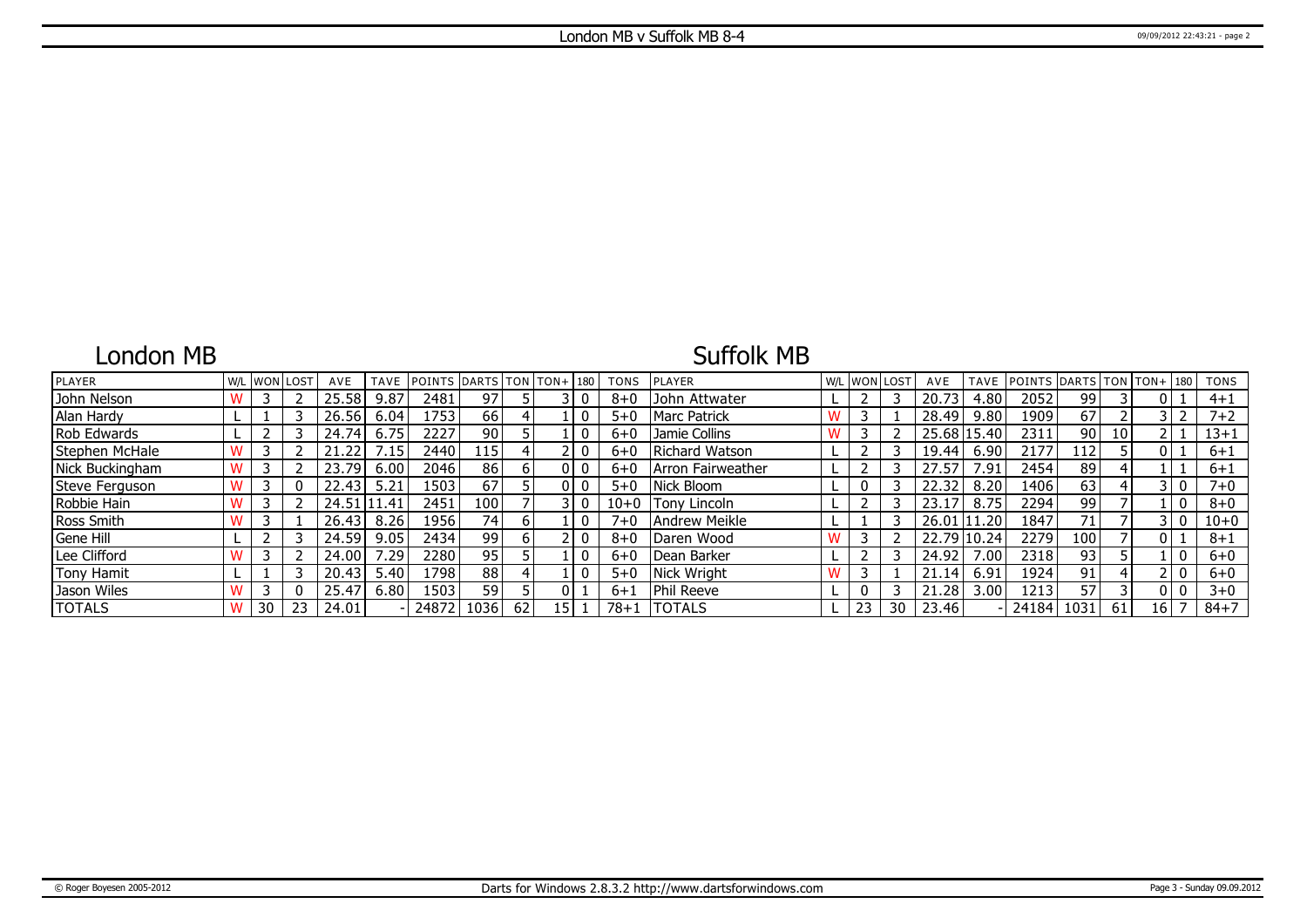# London MB

### Suffolk MB

| <b>PLAYER</b>     | W/L | <b>WON LOST</b> |    | AVE         | <b>TAVE</b> | <b>IPOINTS</b> | $ DARTS TON TON+ 180$ |    |                 |       | <b>TONS</b> | <b>IPLAYER</b>        | W/L | <b>WON LOST</b> |    | AVE         | TAVE             | <b>IPOINTS</b> |                 |                 | $DARTS   TON   TON + 180$ | <b>TONS</b> |
|-------------------|-----|-----------------|----|-------------|-------------|----------------|-----------------------|----|-----------------|-------|-------------|-----------------------|-----|-----------------|----|-------------|------------------|----------------|-----------------|-----------------|---------------------------|-------------|
| John Nelson       |     | 3               |    | 25.58       | 9.87        | 2481           | 97                    |    |                 |       | $8 + 0$     | John Attwater         |     |                 |    | 20.73       | 4.80             | 2052           | 99              |                 |                           | $4 + 1$     |
| Alan Hardy        |     |                 |    | 26.56       | 6.04        | 1753           | 66                    |    |                 |       | $5+0$       | <b>IMarc Patrick</b>  |     |                 |    | 28.49       | 9.80             | 1909           | 67              |                 |                           | $7 + 2$     |
| Rob Edwards       |     |                 |    | 24.74       | 6.75        | 2227           | 90                    |    |                 |       | 6+0         | Jamie Collins         |     |                 |    | 25.68 15.40 |                  | 2311           | 90              | 10 <sup>1</sup> |                           | $13 + 1$    |
| Stephen McHale    |     |                 |    | .22         | $\cdot$ 15  | 2440           | 115                   |    |                 |       | $6 + 0$     | <b>Richard Watson</b> |     |                 |    | 19.44       | 6.90             | 2177           | 112             |                 |                           | $6 + 1$     |
| Nick Buckingham   |     |                 |    | 23.79       | 6.00        | 2046           | 86                    |    |                 |       | $6+0$       | Arron Fairweather     |     |                 |    | 4.57        | 7.91             | 2454           | 89              |                 |                           | $6 + 1$     |
| Steve Ferguson    |     | В               |    | 22.43       | 5.21        | 1503           | 67                    |    | n.              |       | $5 + 0$     | Nick Bloom            |     | 0               |    | 22.32       | 8.20             | 1406           | 63              |                 | 3 I O                     | $7 + 0$     |
| Robbie Hain       |     |                 |    | 24.51 11.41 |             | 2451           | 100                   |    |                 | 3 I O | $10 + 0$    | <b>Tony Lincoln</b>   |     |                 |    |             | 8.75             | 2294           | 99              |                 |                           | $8 + 0$     |
| Ross Smith        |     |                 |    | 26.43       | 8.26        | 1956           | 74                    | 6  |                 |       | $7 + 0$     | l Andrew Meikle       |     |                 |    | 26.01 11.20 |                  | 1847           | 71 <sub>1</sub> |                 |                           | $10 + 0$    |
| Gene Hill         |     |                 |    | 24.59       | 9.05        | 2434           | 99                    | 6  |                 |       | $8 + 0$     | Daren Wood            |     |                 |    | 22.79       | 10.24            | 2279           | 100             |                 |                           | $8 + 1$     |
| Lee Clifford      |     | 3               |    | 24.00       | .29         | 2280           | 95                    |    |                 |       | $6 + 0$     | Dean Barker           |     |                 |    | 24.92       | .00 <sub>1</sub> | 2318           | 93              |                 |                           | $6 + 0$     |
| <b>Tony Hamit</b> |     |                 |    | 20.43       | 5.40        | .798           | 88                    |    |                 |       | $5 + 0$     | Nick Wright           |     |                 |    | 21.14       | 6.91             | 1924           | 91              |                 |                           | $6+0$       |
| Jason Wiles       |     |                 |    | 25.47       | 6.80        | 1503           | 59                    |    |                 |       | $6 + 1$     | Phil Reeve            |     |                 |    | 21.28       | 3.00             | 1213           | 57              |                 |                           | $3 + 0$     |
| <b>TOTALS</b>     |     | 30              | 23 | 24.01       |             | 24872   1036   |                       | 62 | 15 <sup>1</sup> |       | $78 + 1$    | TOTALS                |     | 23              | 30 | 23.46       |                  | 24184 1031     |                 | 61              | 16 I                      | $84 + 7$    |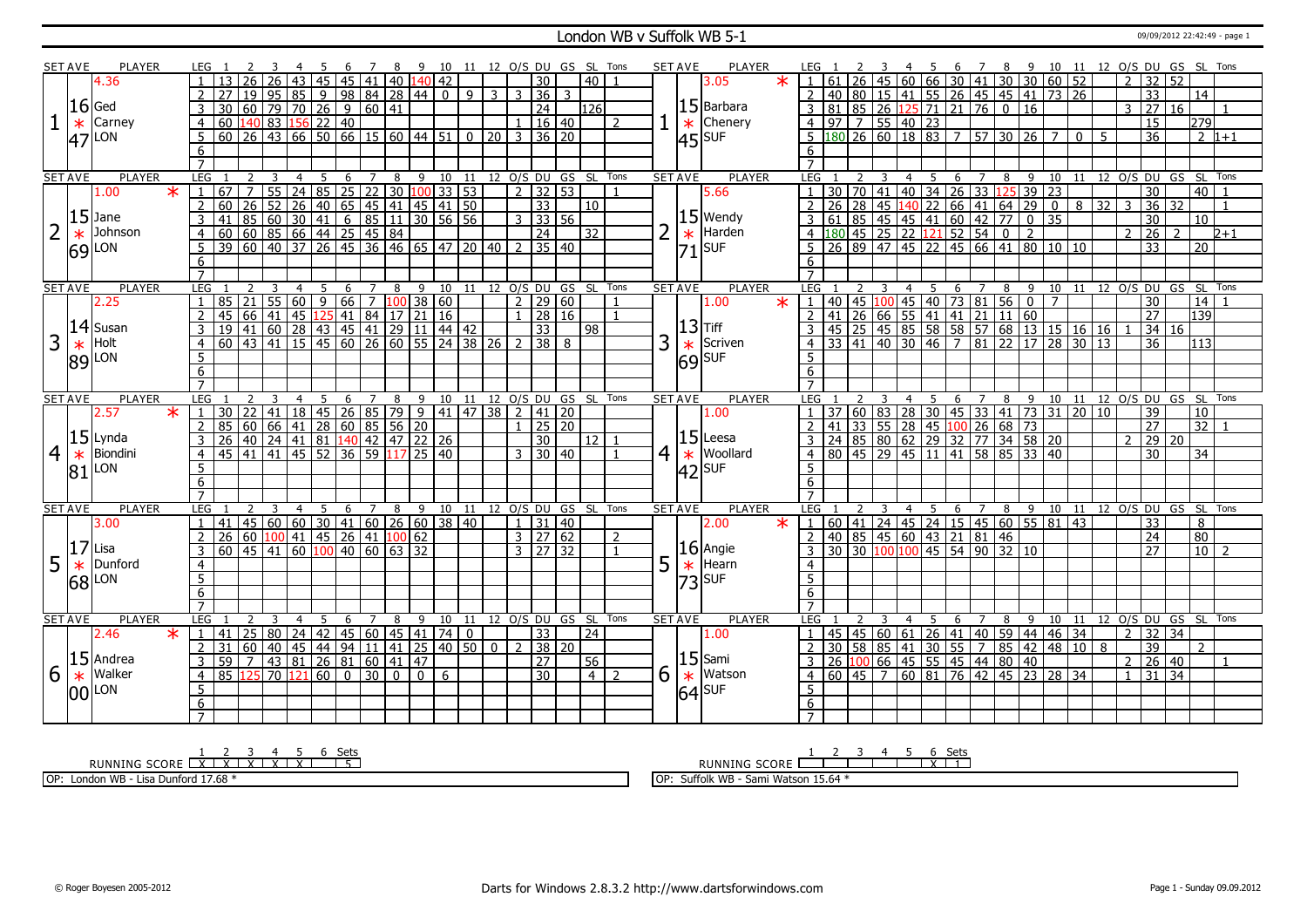#### London WB v Suffolk WB 5-1 09/09/2012 22:42:49 - page 1

|                | <b>SET AVE</b> | <b>PLAYER</b>             | LEG 1               |                                                                                                                                                                                                                                                                                                             |                |                                                 |                |             | - 6 |                |                 |   | 7 8 9 10 11 12 0/S DU GS SL Tons                                                 |    |                 |                    |                |                     |                      |                      |                |                | <b>SET AVE</b> | PLAYER                                        |         |                     |  |                         |                |      |                            |                         |   |                                                              |                                                                                                                                                                                                                                                                                |              |                 |                |                     |                           |                 |                                    |
|----------------|----------------|---------------------------|---------------------|-------------------------------------------------------------------------------------------------------------------------------------------------------------------------------------------------------------------------------------------------------------------------------------------------------------|----------------|-------------------------------------------------|----------------|-------------|-----|----------------|-----------------|---|----------------------------------------------------------------------------------|----|-----------------|--------------------|----------------|---------------------|----------------------|----------------------|----------------|----------------|----------------|-----------------------------------------------|---------|---------------------|--|-------------------------|----------------|------|----------------------------|-------------------------|---|--------------------------------------------------------------|--------------------------------------------------------------------------------------------------------------------------------------------------------------------------------------------------------------------------------------------------------------------------------|--------------|-----------------|----------------|---------------------|---------------------------|-----------------|------------------------------------|
|                |                | 4.36                      |                     | 13                                                                                                                                                                                                                                                                                                          | 26             | 26                                              | 43             | 45          |     |                |                 |   | $\overline{45}$ $\overline{41}$ $\overline{40}$ $\overline{140}$ $\overline{42}$ |    |                 |                    |                | $\overline{30}$     |                      | 40                   |                |                |                | 3.05                                          | $\star$ | $\overline{1}$      |  |                         |                |      |                            |                         |   |                                                              |                                                                                                                                                                                                                                                                                |              |                 |                |                     |                           |                 |                                    |
|                |                |                           |                     |                                                                                                                                                                                                                                                                                                             |                |                                                 |                |             |     |                |                 |   |                                                                                  |    |                 | $\overline{3}$     | -3 I           | $\overline{36}$     | 3                    |                      |                |                |                |                                               |         |                     |  |                         |                |      |                            |                         |   |                                                              |                                                                                                                                                                                                                                                                                |              |                 |                |                     |                           |                 |                                    |
|                |                | $ 16 $ Ged                |                     | 30 60 79 70 26 9 60 41                                                                                                                                                                                                                                                                                      |                | 19 95 85 9 98 84 28 44 0 9                      |                |             |     |                |                 |   |                                                                                  |    |                 |                    |                | $\overline{24}$     |                      | 126                  |                |                |                | $15$ Barbara                                  |         |                     |  |                         |                |      |                            |                         |   | 3 81 85 26 125 71 21 76 0 16                                 |                                                                                                                                                                                                                                                                                |              |                 |                | 3 27                | 16                        |                 |                                    |
|                |                |                           |                     |                                                                                                                                                                                                                                                                                                             |                |                                                 |                |             |     |                |                 |   |                                                                                  |    |                 |                    |                |                     |                      |                      |                |                |                | Chenery                                       |         |                     |  |                         |                |      |                            |                         |   |                                                              |                                                                                                                                                                                                                                                                                |              |                 |                |                     |                           |                 |                                    |
|                | $\ast$         | Carney                    | 4                   | 0 140 83 156 22 40<br>0 140 83 156 22 40<br>0 20 26 43 66 50 66 15 60 44 51 0 20 3 36 20                                                                                                                                                                                                                    |                |                                                 |                |             |     |                |                 |   |                                                                                  |    |                 |                    |                |                     |                      |                      | 2              |                | $\ast$         |                                               |         |                     |  |                         |                |      |                            |                         |   |                                                              | 4 97 7 55 40 23<br>5 180 26 60 18 83 7 57 30 26 7                                                                                                                                                                                                                              |              |                 |                | 15                  |                           | 279             |                                    |
|                |                | $ 47 $ LON                | 5                   |                                                                                                                                                                                                                                                                                                             |                |                                                 |                |             |     |                |                 |   |                                                                                  |    |                 |                    |                |                     |                      |                      |                |                |                | $ 45 $ SUF                                    |         |                     |  |                         |                |      |                            |                         |   |                                                              |                                                                                                                                                                                                                                                                                | $\mathbf{0}$ | -5              |                | $\overline{36}$     |                           |                 | $\sqrt{2}$ 1+1                     |
|                |                |                           | 6                   |                                                                                                                                                                                                                                                                                                             |                |                                                 |                |             |     |                |                 |   |                                                                                  |    |                 |                    |                |                     |                      |                      |                |                |                |                                               |         | 6                   |  |                         |                |      |                            |                         |   |                                                              |                                                                                                                                                                                                                                                                                |              |                 |                |                     |                           |                 |                                    |
|                |                |                           | $\overline{7}$      |                                                                                                                                                                                                                                                                                                             |                |                                                 |                |             |     |                |                 |   |                                                                                  |    |                 |                    |                |                     |                      |                      |                |                |                |                                               |         | $\overline{7}$      |  |                         |                |      |                            |                         |   |                                                              |                                                                                                                                                                                                                                                                                |              |                 |                |                     |                           |                 |                                    |
|                | <b>SET AVE</b> | <b>PLAYER</b>             | LEG                 |                                                                                                                                                                                                                                                                                                             |                | 3                                               | $\overline{4}$ | 5           | 6   | 7              |                 | 8 | $\overline{9}$                                                                   | 10 | $\overline{11}$ |                    |                |                     | 12 O/S DU GS SL Tons |                      |                |                | <b>SET AVE</b> | <b>PLAYER</b>                                 |         | LEG                 |  |                         | $\overline{4}$ | - 5  | 6                          | $\overline{7}$          | 8 | 9                                                            | 10                                                                                                                                                                                                                                                                             |              |                 |                |                     |                           |                 | 11 12 0/S DU GS SL Tons            |
|                |                | $\overline{\ast}$<br>1.00 |                     | $\frac{1}{167}$ $\frac{5}{7}$ $\frac{1}{55}$ $\frac{24}{25}$ $\frac{35}{25}$ $\frac{22}{25}$ $\frac{30}{20}$ $\frac{100}{33}$ $\frac{153}{53}$ $\frac{153}{25}$ $\frac{2}{25}$ $\frac{33}{25}$<br>$\frac{60}{41}$ $\frac{25}{85}$ $\frac{26}{40}$ $\frac{40}{41}$ $\frac{61}{41}$ $\frac{65}{41}$ $\frac{4$ |                |                                                 |                |             |     |                |                 |   |                                                                                  |    |                 |                    |                |                     |                      |                      |                |                |                | 5.66                                          |         |                     |  |                         |                |      |                            |                         |   |                                                              |                                                                                                                                                                                                                                                                                |              |                 |                | $\overline{30}$     |                           | 40 <sup>1</sup> |                                    |
|                |                |                           | 2                   |                                                                                                                                                                                                                                                                                                             |                |                                                 |                |             |     |                |                 |   |                                                                                  |    |                 |                    |                |                     |                      | 10                   |                |                |                |                                               |         |                     |  |                         |                |      |                            |                         |   |                                                              |                                                                                                                                                                                                                                                                                |              | $\overline{32}$ | 3              | $\overline{36}$     | 32                        |                 |                                    |
|                |                | $15$ Jane                 | 3                   |                                                                                                                                                                                                                                                                                                             |                |                                                 |                |             |     |                |                 |   |                                                                                  |    |                 |                    |                |                     |                      |                      |                |                |                | $15$ Wendy                                    |         |                     |  |                         |                |      |                            |                         |   |                                                              |                                                                                                                                                                                                                                                                                |              |                 |                | $\overline{30}$     |                           | $\overline{10}$ |                                    |
|                | $\ast$         | Johnson                   | $\overline{4}$      |                                                                                                                                                                                                                                                                                                             |                |                                                 |                |             |     |                |                 |   |                                                                                  |    |                 |                    |                |                     |                      | 32                   |                |                |                | Harden                                        |         |                     |  |                         |                |      |                            |                         |   |                                                              |                                                                                                                                                                                                                                                                                |              |                 | $\mathcal{L}$  | $\overline{26}$     |                           |                 | $2 + 1$                            |
|                |                | $ 69 $ LON                | $-5$                |                                                                                                                                                                                                                                                                                                             |                |                                                 |                |             |     |                |                 |   |                                                                                  |    |                 |                    |                |                     |                      |                      |                |                | $\frac{*}{71}$ | SUF                                           |         |                     |  |                         |                |      |                            |                         |   |                                                              |                                                                                                                                                                                                                                                                                |              |                 |                | $\overline{33}$     |                           | $\overline{20}$ |                                    |
|                |                |                           | 6                   |                                                                                                                                                                                                                                                                                                             |                |                                                 |                |             |     |                |                 |   |                                                                                  |    |                 |                    |                |                     |                      |                      |                |                |                |                                               |         | 6                   |  |                         |                |      |                            |                         |   |                                                              |                                                                                                                                                                                                                                                                                |              |                 |                |                     |                           |                 |                                    |
|                |                |                           | $\overline{7}$      |                                                                                                                                                                                                                                                                                                             |                |                                                 |                |             |     |                |                 |   |                                                                                  |    |                 |                    |                |                     |                      |                      |                |                |                |                                               |         | $\overline{7}$      |  |                         |                |      |                            |                         |   |                                                              |                                                                                                                                                                                                                                                                                |              |                 |                |                     |                           |                 |                                    |
|                | <b>SET AVE</b> | <b>PLAYER</b>             | LEG 1               |                                                                                                                                                                                                                                                                                                             | $\overline{2}$ | -3                                              | $\overline{4}$ | $-5$        |     |                |                 |   | 6 7 8 9 10 11 12 0/S DU GS SL Tons                                               |    |                 |                    |                |                     |                      |                      |                |                | <b>SET AVE</b> | <b>PLAYER</b>                                 |         | LEG <sub>1</sub>    |  |                         | $\overline{4}$ | $-5$ |                            |                         |   |                                                              |                                                                                                                                                                                                                                                                                |              |                 |                |                     |                           |                 | 6 7 8 9 10 11 12 0/S DU GS SL Tons |
|                |                | 2.25                      | $\overline{1}$      | 85   21   55   60   9   66   7   100   38   60<br>  45   66   41   45   125   41   84   17   21   16                                                                                                                                                                                                        |                |                                                 |                |             |     |                |                 |   |                                                                                  |    |                 |                    |                | $\frac{1}{2}$ 29 60 |                      |                      |                |                |                | 1.00                                          | $\star$ |                     |  |                         |                |      |                            |                         |   | 1 40 45 100 45 40 73 81 56 0<br>2 41 26 66 55 41 41 21 11 60 | $\overline{7}$                                                                                                                                                                                                                                                                 |              |                 |                | $\overline{30}$     |                           | 14              |                                    |
|                |                |                           | 2                   |                                                                                                                                                                                                                                                                                                             |                |                                                 |                |             |     |                |                 |   |                                                                                  |    |                 |                    | $\mathbf{1}$   | $\overline{28 16}$  |                      |                      |                |                |                |                                               |         |                     |  |                         |                |      |                            |                         |   |                                                              |                                                                                                                                                                                                                                                                                |              |                 |                | $\overline{27}$     |                           | 139             |                                    |
|                |                | $ 14 $ Susan              |                     | 45 66 41 45 125 41 84 17 21 16<br>19 41 60 28 43 45 41 29 11 44 42                                                                                                                                                                                                                                          |                |                                                 |                |             |     |                |                 |   |                                                                                  |    |                 |                    |                | 33                  |                      | 98                   |                |                |                | $ 13 $ Tiff                                   |         |                     |  |                         |                |      |                            |                         |   |                                                              | 45 25 45 85 58 58 57 68 13 15 16 16                                                                                                                                                                                                                                            |              |                 |                |                     | 34 16                     |                 |                                    |
| $\overline{3}$ | $\ast$         | Holt                      | $\overline{4}$      | 60 43 41 15 45 60 26 60 55 24 38 26                                                                                                                                                                                                                                                                         |                |                                                 |                |             |     |                |                 |   |                                                                                  |    |                 |                    |                | 38 <sup>1</sup>     | 8                    |                      |                | 3              |                | Scriven                                       |         | $\overline{4}$      |  |                         |                |      | 33   41   40   30   46   7 |                         |   |                                                              | 81 22 17 28 30 13                                                                                                                                                                                                                                                              |              |                 |                | $\overline{36}$     |                           | 113             |                                    |
|                |                | 89 LON                    | -5                  |                                                                                                                                                                                                                                                                                                             |                |                                                 |                |             |     |                |                 |   |                                                                                  |    |                 |                    |                |                     |                      |                      |                |                |                | $\begin{array}{c} \ast \\ 69 \end{array}$ SUF |         | 5                   |  |                         |                |      |                            |                         |   |                                                              |                                                                                                                                                                                                                                                                                |              |                 |                |                     |                           |                 |                                    |
|                |                |                           | 6                   |                                                                                                                                                                                                                                                                                                             |                |                                                 |                |             |     |                |                 |   |                                                                                  |    |                 |                    |                |                     |                      |                      |                |                |                |                                               |         | 6                   |  |                         |                |      |                            |                         |   |                                                              |                                                                                                                                                                                                                                                                                |              |                 |                |                     |                           |                 |                                    |
|                |                |                           |                     |                                                                                                                                                                                                                                                                                                             |                |                                                 |                |             |     |                |                 |   |                                                                                  |    |                 |                    |                |                     |                      |                      |                |                |                |                                               |         | $\overline{7}$      |  |                         |                |      |                            |                         |   |                                                              |                                                                                                                                                                                                                                                                                |              |                 |                |                     |                           |                 |                                    |
|                |                |                           |                     |                                                                                                                                                                                                                                                                                                             |                |                                                 |                |             |     |                |                 |   |                                                                                  |    |                 |                    |                |                     |                      |                      |                |                |                |                                               |         | LEG                 |  |                         | 4              | -5   | 6                          |                         |   |                                                              |                                                                                                                                                                                                                                                                                |              |                 |                |                     | 8 9 10 11 12 0/S DU GS SL |                 | Tons                               |
|                | <b>SET AVE</b> | <b>PLAYER</b>             | LEG                 |                                                                                                                                                                                                                                                                                                             |                |                                                 | 4              | 5           | 6   | 7              |                 | 8 | 9                                                                                | 10 | 11              |                    |                |                     |                      | 12 O/S DU GS SL Tons |                |                | <b>SET AVE</b> | <b>PLAYER</b>                                 |         |                     |  |                         |                |      |                            | 7                       |   |                                                              |                                                                                                                                                                                                                                                                                |              |                 |                |                     |                           |                 |                                    |
|                |                | $\star$<br>2.57           | $\overline{1}$      |                                                                                                                                                                                                                                                                                                             |                |                                                 |                |             |     |                |                 |   | 9   41   47   38                                                                 |    |                 |                    | $\sqrt{2}$     | 41 20               |                      |                      |                |                |                | 1.00                                          |         |                     |  |                         |                |      |                            |                         |   |                                                              |                                                                                                                                                                                                                                                                                |              |                 |                | $\overline{39}$     |                           | 10 <sup>1</sup> |                                    |
|                |                |                           | 2                   |                                                                                                                                                                                                                                                                                                             |                |                                                 |                |             |     |                |                 |   |                                                                                  |    |                 |                    |                | $1 \ 25 \ 20$       |                      |                      |                |                |                |                                               |         |                     |  |                         |                |      |                            |                         |   |                                                              |                                                                                                                                                                                                                                                                                |              |                 |                | $\overline{27}$     |                           | $\overline{32}$ |                                    |
|                |                | $15$ Lynda                | $\overline{3}$      |                                                                                                                                                                                                                                                                                                             |                |                                                 |                |             |     |                |                 |   |                                                                                  |    |                 |                    |                | 30                  |                      | $12$   1             |                |                |                | $15$ Leesa                                    |         |                     |  |                         |                |      |                            |                         |   |                                                              |                                                                                                                                                                                                                                                                                |              |                 | $\mathcal{L}$  |                     | 29 20                     |                 |                                    |
|                |                | Biondini                  | $\overline{4}$      |                                                                                                                                                                                                                                                                                                             |                |                                                 |                |             |     |                |                 |   |                                                                                  |    |                 |                    |                | $3 \mid 30 \mid 40$ |                      |                      | $\mathbf{1}$   |                |                | Woollard                                      |         |                     |  |                         |                |      |                            |                         |   |                                                              |                                                                                                                                                                                                                                                                                |              |                 |                | 30                  |                           | 34              |                                    |
| $\overline{4}$ | $\ast$         | <b>LON</b>                | $5^{\circ}$         | 130 22 41 18 45 26 85 79 9 41<br>85 60 66 41 28 60 85 56 20<br>26 40 24 41 81 140 42 47 22 26<br>45 41 41 45 52 36 59 117 25 40                                                                                                                                                                             |                |                                                 |                |             |     |                |                 |   |                                                                                  |    |                 |                    |                |                     |                      |                      |                | $\overline{4}$ | $\ast$         |                                               |         | 5                   |  |                         |                |      |                            |                         |   |                                                              | $\frac{1}{2}$ $\frac{37}{37}$ $\frac{60}{83}$ $\frac{83}{28}$ $\frac{30}{30}$ $\frac{45}{33}$ $\frac{33}{41}$ $\frac{41}{73}$ $\frac{31}{31}$ $\frac{20}{20}$ $\frac{10}{10}$<br>2 41 33 55 28 45 100 26 68 73<br>3 24 85 80 62 29 32 77 34 58 20<br>4 80 45 29 45 11 41 58 85 |              |                 |                |                     |                           |                 |                                    |
|                | 81             |                           | $6\overline{6}$     |                                                                                                                                                                                                                                                                                                             |                |                                                 |                |             |     |                |                 |   |                                                                                  |    |                 |                    |                |                     |                      |                      |                |                |                | $ 42 $ SUF                                    |         | 6                   |  |                         |                |      |                            |                         |   |                                                              |                                                                                                                                                                                                                                                                                |              |                 |                |                     |                           |                 |                                    |
|                |                |                           | $\overline{7}$      |                                                                                                                                                                                                                                                                                                             |                |                                                 |                |             |     |                |                 |   |                                                                                  |    |                 |                    |                |                     |                      |                      |                |                |                |                                               |         | $\overline{7}$      |  |                         |                |      |                            |                         |   |                                                              |                                                                                                                                                                                                                                                                                |              |                 |                |                     |                           |                 |                                    |
|                | <b>SET AVE</b> | <b>PLAYER</b>             | LEG                 |                                                                                                                                                                                                                                                                                                             | <sup>2</sup>   | 3                                               | $\overline{4}$ | $5^{\circ}$ | 6   |                |                 |   | 7 8 9 10 11 12 O/S DU GS SL Tons                                                 |    |                 |                    |                |                     |                      |                      |                |                | <b>SET AVE</b> | <b>PLAYER</b>                                 |         | LEG                 |  | $\overline{\mathbf{3}}$ | 4 <sub>5</sub> |      |                            |                         |   |                                                              |                                                                                                                                                                                                                                                                                |              |                 |                |                     |                           |                 | 6 7 8 9 10 11 12 O/S DU GS SL Tons |
|                |                | 3.00                      | $\overline{1}$      | 41                                                                                                                                                                                                                                                                                                          |                | 45   60   60   30   41   60   26   60   38   40 |                |             |     |                |                 |   |                                                                                  |    |                 |                    |                | $1 \ 131 \ 40$      |                      |                      |                |                |                | 2.00                                          | $\star$ |                     |  |                         |                |      |                            |                         |   |                                                              | 1 60 41 24 45 24 15 45 60 55 81 43                                                                                                                                                                                                                                             |              |                 |                | 33                  |                           | $\overline{8}$  |                                    |
|                |                |                           | $\overline{2}$      |                                                                                                                                                                                                                                                                                                             |                |                                                 |                |             |     |                |                 |   | 62                                                                               |    |                 |                    |                | $3 \mid 27 \mid 62$ |                      |                      | $\overline{2}$ |                |                |                                               |         | $\overline{2}$      |  |                         |                |      |                            |                         |   |                                                              |                                                                                                                                                                                                                                                                                |              |                 |                | 24                  |                           | 80              |                                    |
|                |                | Lisa                      | 3                   | 26 60 100 41 45 26 41 100<br>$60$   45   41                                                                                                                                                                                                                                                                 |                |                                                 |                |             |     |                | 60 100 40 60 63 |   | $\overline{32}$                                                                  |    |                 |                    |                | $3 \mid 27 \mid 32$ |                      |                      |                |                |                |                                               |         |                     |  |                         |                |      |                            | 40 85 45 60 43 21 81 46 |   | 30 30 100 100 45 54 90 32 10                                 |                                                                                                                                                                                                                                                                                |              |                 |                | $\overline{27}$     |                           | 10              | $\overline{z}$                     |
|                | 17             | Dunford                   | $\overline{4}$      |                                                                                                                                                                                                                                                                                                             |                |                                                 |                |             |     |                |                 |   |                                                                                  |    |                 |                    |                |                     |                      |                      |                |                |                |                                               |         | $\overline{4}$      |  |                         |                |      |                            |                         |   |                                                              |                                                                                                                                                                                                                                                                                |              |                 |                |                     |                           |                 |                                    |
| 5              | $\ast$         |                           |                     |                                                                                                                                                                                                                                                                                                             |                |                                                 |                |             |     |                |                 |   |                                                                                  |    |                 |                    |                |                     |                      |                      |                | 5              | $\ast$         | $\vert 16 \vert$ Angie<br>  $\ast$  Hearn     |         |                     |  |                         |                |      |                            |                         |   |                                                              |                                                                                                                                                                                                                                                                                |              |                 |                |                     |                           |                 |                                    |
|                |                | $68$ <sup>LON</sup>       | 5                   |                                                                                                                                                                                                                                                                                                             |                |                                                 |                |             |     |                |                 |   |                                                                                  |    |                 |                    |                |                     |                      |                      |                |                |                | $ 73 $ SUF                                    |         | $\overline{5}$      |  |                         |                |      |                            |                         |   |                                                              |                                                                                                                                                                                                                                                                                |              |                 |                |                     |                           |                 |                                    |
|                |                |                           | 6                   |                                                                                                                                                                                                                                                                                                             |                |                                                 |                |             |     |                |                 |   |                                                                                  |    |                 |                    |                |                     |                      |                      |                |                |                |                                               |         | 6                   |  |                         |                |      |                            |                         |   |                                                              |                                                                                                                                                                                                                                                                                |              |                 |                |                     |                           |                 |                                    |
|                |                | PLAYER                    | LEG                 |                                                                                                                                                                                                                                                                                                             | $\overline{2}$ | 3                                               | $\overline{4}$ | 5           | 6   | $\overline{7}$ | 8               |   | 9                                                                                | 10 | 11              |                    |                |                     |                      |                      |                |                | <b>SET AVE</b> | PLAYER                                        |         | LEG                 |  |                         | 4              | -5   | 6                          | $7^{\circ}$             | 8 |                                                              |                                                                                                                                                                                                                                                                                |              |                 |                |                     |                           |                 |                                    |
|                | <b>SET AVE</b> | 2.46<br>$\ast$            | $\mathbf{1}$        | 41                                                                                                                                                                                                                                                                                                          |                |                                                 |                |             |     |                |                 |   |                                                                                  |    | $\overline{0}$  |                    |                |                     | 12 O/S DU GS SL Tons | 24                   |                |                |                | 1.00                                          |         |                     |  |                         |                |      |                            |                         |   |                                                              |                                                                                                                                                                                                                                                                                |              |                 |                | $2 \mid 32 \mid 34$ |                           |                 | 9 10 11 12 O/S DU GS SL Tons       |
|                |                |                           | $\overline{2}$      | 31                                                                                                                                                                                                                                                                                                          | 60             | 25 80 24 42 45 60 45 41 74                      |                |             |     |                |                 |   |                                                                                  |    |                 | $\overline{\circ}$ | $\overline{2}$ | 33<br>$38 \mid 20$  |                      |                      |                |                |                |                                               |         |                     |  |                         |                |      |                            |                         |   |                                                              |                                                                                                                                                                                                                                                                                |              |                 |                | $\overline{39}$     |                           | $\mathcal{P}$   |                                    |
|                |                |                           | 3                   | $59 \mid 7$                                                                                                                                                                                                                                                                                                 |                | 40 45 44 94 11 41                               |                |             |     |                |                 |   | 25   40   50                                                                     |    |                 |                    |                | $\overline{27}$     |                      |                      |                |                |                |                                               |         |                     |  |                         |                |      |                            |                         |   |                                                              |                                                                                                                                                                                                                                                                                |              |                 |                | $2 \ 26 \ 40$       |                           |                 | $\overline{1}$                     |
|                |                | $15$ Andrea<br>Walker     | $\overline{4}$      |                                                                                                                                                                                                                                                                                                             |                | 43 81 26 81 60 41 47                            |                |             | l 0 |                |                 |   | $\overline{0}$                                                                   | 6  |                 |                    |                | $\overline{30}$     |                      | 56<br>4 2            |                |                |                | $15$ Sami                                     |         |                     |  |                         |                |      |                            |                         |   |                                                              |                                                                                                                                                                                                                                                                                |              |                 | $\overline{1}$ | 31                  | 34                        |                 |                                    |
| 6              | $\ast$         |                           | 5                   | 85 125 70 121 60                                                                                                                                                                                                                                                                                            |                |                                                 |                |             |     | 30             | $\overline{0}$  |   |                                                                                  |    |                 |                    |                |                     |                      |                      |                | 6              | $\ast$         | Watson                                        |         | .5.                 |  |                         |                |      |                            |                         |   |                                                              | 1 45 45 60 61 26 41 40 59 44 46 34<br>2 30 58 85 41 30 55 7 85 42 48 10 8<br>3 26 100 66 45 55 45 44 80 40<br>4 60 45 7 60 81 76 42 45 23 28 34                                                                                                                                |              |                 |                |                     |                           |                 |                                    |
|                |                | $ 00 $ LON                |                     |                                                                                                                                                                                                                                                                                                             |                |                                                 |                |             |     |                |                 |   |                                                                                  |    |                 |                    |                |                     |                      |                      |                |                |                | $ 64 $ SUF                                    |         |                     |  |                         |                |      |                            |                         |   |                                                              |                                                                                                                                                                                                                                                                                |              |                 |                |                     |                           |                 |                                    |
|                |                |                           | 6<br>$\overline{7}$ |                                                                                                                                                                                                                                                                                                             |                |                                                 |                |             |     |                |                 |   |                                                                                  |    |                 |                    |                |                     |                      |                      |                |                |                |                                               |         | 6<br>$\overline{7}$ |  |                         |                |      |                            |                         |   |                                                              |                                                                                                                                                                                                                                                                                |              |                 |                |                     |                           |                 |                                    |

RUNNING SCORE 1 X 2 X 3 X 4 X 5 X 6 Sets 5

OP: London WB - Lisa Dunford 17.68 \*

RUNNING SCORE 1 2 3 4 5 6 X Sets 1

OP: Suffolk WB - Sami Watson 15.64 \*